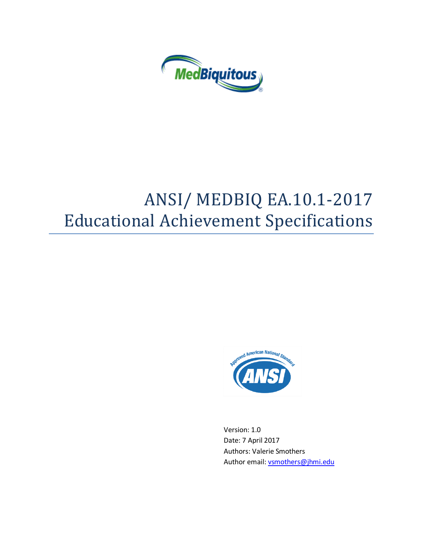

# ANSI/ MEDBIQ EA.10.1-2017 Educational Achievement Specifications



Version: 1.0 Date: 7 April 2017 Authors: Valerie Smothers Author email[: vsmothers@jhmi.edu](mailto:vsmothers@jhmi.edu)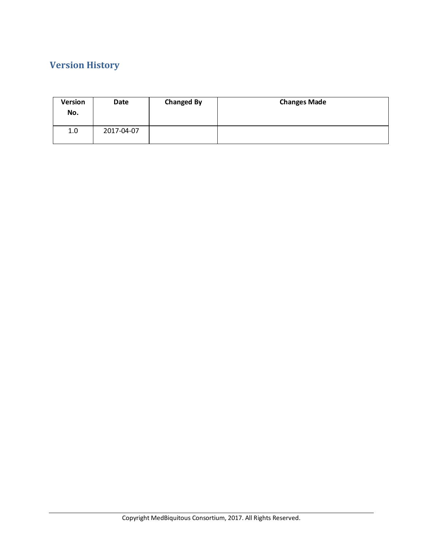# **Version History**

| <b>Version</b><br>No. | Date       | <b>Changed By</b> | <b>Changes Made</b> |
|-----------------------|------------|-------------------|---------------------|
| 1.0                   | 2017-04-07 |                   |                     |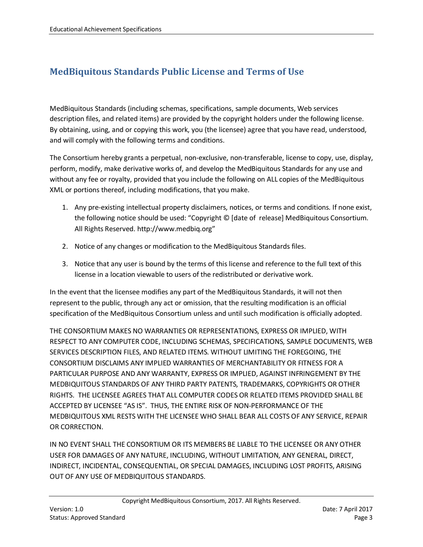# **MedBiquitous Standards Public License and Terms of Use**

MedBiquitous Standards (including schemas, specifications, sample documents, Web services description files, and related items) are provided by the copyright holders under the following license. By obtaining, using, and or copying this work, you (the licensee) agree that you have read, understood, and will comply with the following terms and conditions.

The Consortium hereby grants a perpetual, non-exclusive, non-transferable, license to copy, use, display, perform, modify, make derivative works of, and develop the MedBiquitous Standards for any use and without any fee or royalty, provided that you include the following on ALL copies of the MedBiquitous XML or portions thereof, including modifications, that you make.

- 1. Any pre-existing intellectual property disclaimers, notices, or terms and conditions. If none exist, the following notice should be used: "Copyright © [date of release] MedBiquitous Consortium. All Rights Reserved. http://www.medbiq.org"
- 2. Notice of any changes or modification to the MedBiquitous Standards files.
- 3. Notice that any user is bound by the terms of this license and reference to the full text of this license in a location viewable to users of the redistributed or derivative work.

In the event that the licensee modifies any part of the MedBiquitous Standards, it will not then represent to the public, through any act or omission, that the resulting modification is an official specification of the MedBiquitous Consortium unless and until such modification is officially adopted.

THE CONSORTIUM MAKES NO WARRANTIES OR REPRESENTATIONS, EXPRESS OR IMPLIED, WITH RESPECT TO ANY COMPUTER CODE, INCLUDING SCHEMAS, SPECIFICATIONS, SAMPLE DOCUMENTS, WEB SERVICES DESCRIPTION FILES, AND RELATED ITEMS. WITHOUT LIMITING THE FOREGOING, THE CONSORTIUM DISCLAIMS ANY IMPLIED WARRANTIES OF MERCHANTABILITY OR FITNESS FOR A PARTICULAR PURPOSE AND ANY WARRANTY, EXPRESS OR IMPLIED, AGAINST INFRINGEMENT BY THE MEDBIQUITOUS STANDARDS OF ANY THIRD PARTY PATENTS, TRADEMARKS, COPYRIGHTS OR OTHER RIGHTS. THE LICENSEE AGREES THAT ALL COMPUTER CODES OR RELATED ITEMS PROVIDED SHALL BE ACCEPTED BY LICENSEE "AS IS". THUS, THE ENTIRE RISK OF NON-PERFORMANCE OF THE MEDBIQUITOUS XML RESTS WITH THE LICENSEE WHO SHALL BEAR ALL COSTS OF ANY SERVICE, REPAIR OR CORRECTION.

IN NO EVENT SHALL THE CONSORTIUM OR ITS MEMBERS BE LIABLE TO THE LICENSEE OR ANY OTHER USER FOR DAMAGES OF ANY NATURE, INCLUDING, WITHOUT LIMITATION, ANY GENERAL, DIRECT, INDIRECT, INCIDENTAL, CONSEQUENTIAL, OR SPECIAL DAMAGES, INCLUDING LOST PROFITS, ARISING OUT OF ANY USE OF MEDBIQUITOUS STANDARDS.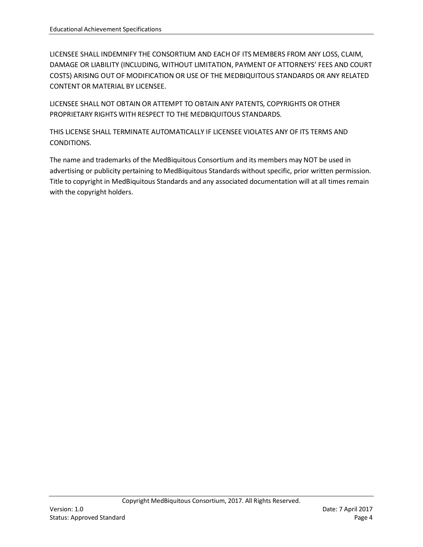LICENSEE SHALL INDEMNIFY THE CONSORTIUM AND EACH OF ITS MEMBERS FROM ANY LOSS, CLAIM, DAMAGE OR LIABILITY (INCLUDING, WITHOUT LIMITATION, PAYMENT OF ATTORNEYS' FEES AND COURT COSTS) ARISING OUT OF MODIFICATION OR USE OF THE MEDBIQUITOUS STANDARDS OR ANY RELATED CONTENT OR MATERIAL BY LICENSEE.

LICENSEE SHALL NOT OBTAIN OR ATTEMPT TO OBTAIN ANY PATENTS, COPYRIGHTS OR OTHER PROPRIETARY RIGHTS WITH RESPECT TO THE MEDBIQUITOUS STANDARDS.

THIS LICENSE SHALL TERMINATE AUTOMATICALLY IF LICENSEE VIOLATES ANY OF ITS TERMS AND CONDITIONS.

The name and trademarks of the MedBiquitous Consortium and its members may NOT be used in advertising or publicity pertaining to MedBiquitous Standards without specific, prior written permission. Title to copyright in MedBiquitous Standards and any associated documentation will at all times remain with the copyright holders.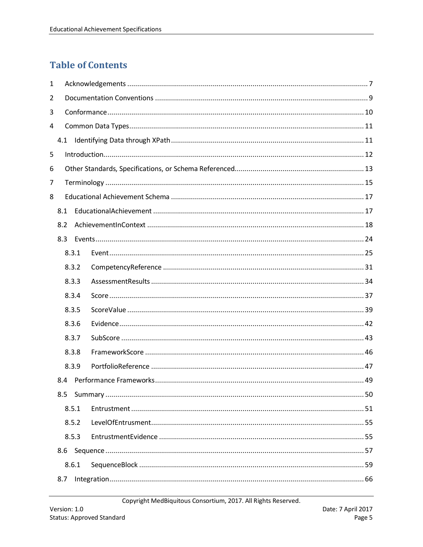# **Table of Contents**

| 1              |     |       |  |  |  |  |  |
|----------------|-----|-------|--|--|--|--|--|
| $\overline{2}$ |     |       |  |  |  |  |  |
| 3              |     |       |  |  |  |  |  |
| 4              |     |       |  |  |  |  |  |
|                |     |       |  |  |  |  |  |
| 5              |     |       |  |  |  |  |  |
| 6              |     |       |  |  |  |  |  |
| 7              |     |       |  |  |  |  |  |
| 8              |     |       |  |  |  |  |  |
|                | 8.1 |       |  |  |  |  |  |
|                | 8.2 |       |  |  |  |  |  |
|                | 8.3 |       |  |  |  |  |  |
|                |     | 8.3.1 |  |  |  |  |  |
|                |     | 8.3.2 |  |  |  |  |  |
|                |     | 8.3.3 |  |  |  |  |  |
|                |     | 8.3.4 |  |  |  |  |  |
|                |     | 8.3.5 |  |  |  |  |  |
|                |     | 8.3.6 |  |  |  |  |  |
|                |     | 8.3.7 |  |  |  |  |  |
|                |     | 8.3.8 |  |  |  |  |  |
|                |     | 8.3.9 |  |  |  |  |  |
|                | 8.4 |       |  |  |  |  |  |
|                | 8.5 |       |  |  |  |  |  |
|                |     | 8.5.1 |  |  |  |  |  |
|                |     | 8.5.2 |  |  |  |  |  |
|                |     | 8.5.3 |  |  |  |  |  |
|                | 8.6 |       |  |  |  |  |  |
|                |     | 8.6.1 |  |  |  |  |  |
|                | 8.7 |       |  |  |  |  |  |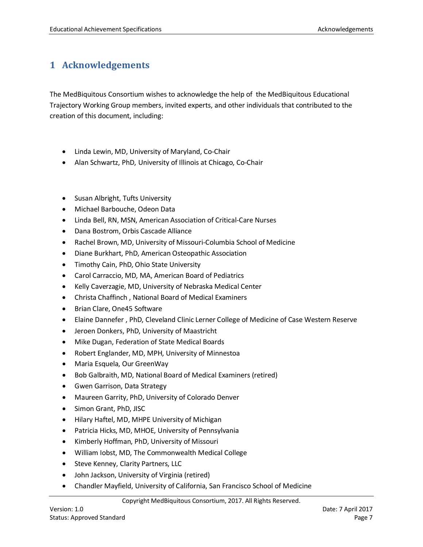# <span id="page-6-0"></span>**1 Acknowledgements**

The MedBiquitous Consortium wishes to acknowledge the help of the MedBiquitous Educational Trajectory Working Group members, invited experts, and other individuals that contributed to the creation of this document, including:

- Linda Lewin, MD, University of Maryland, Co-Chair
- Alan Schwartz, PhD, University of Illinois at Chicago, Co-Chair
- Susan Albright, Tufts University
- Michael Barbouche, Odeon Data
- Linda Bell, RN, MSN, American Association of Critical-Care Nurses
- Dana Bostrom, Orbis Cascade Alliance
- Rachel Brown, MD, University of Missouri-Columbia School of Medicine
- Diane Burkhart, PhD, American Osteopathic Association
- Timothy Cain, PhD, Ohio State University
- Carol Carraccio, MD, MA, American Board of Pediatrics
- Kelly Caverzagie, MD, University of Nebraska Medical Center
- Christa Chaffinch , National Board of Medical Examiners
- Brian Clare, One45 Software
- Elaine Dannefer , PhD, Cleveland Clinic Lerner College of Medicine of Case Western Reserve
- Jeroen Donkers, PhD, University of Maastricht
- Mike Dugan, Federation of State Medical Boards
- Robert Englander, MD, MPH, University of Minnestoa
- Maria Esquela, Our GreenWay
- Bob Galbraith, MD, National Board of Medical Examiners (retired)
- Gwen Garrison, Data Strategy
- Maureen Garrity, PhD, University of Colorado Denver
- Simon Grant, PhD, JISC
- Hilary Haftel, MD, MHPE University of Michigan
- Patricia Hicks, MD, MHOE, University of Pennsylvania
- Kimberly Hoffman, PhD, University of Missouri
- William Iobst, MD, The Commonwealth Medical College
- Steve Kenney, Clarity Partners, LLC
- John Jackson, University of Virginia (retired)
- Chandler Mayfield, University of California, San Francisco School of Medicine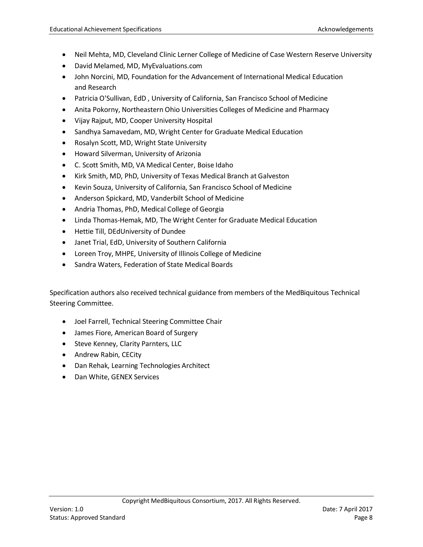- Neil Mehta, MD, Cleveland Clinic Lerner College of Medicine of Case Western Reserve University
- David Melamed, MD, MyEvaluations.com
- John Norcini, MD, Foundation for the Advancement of International Medical Education and Research
- Patricia O'Sullivan, EdD , University of California, San Francisco School of Medicine
- Anita Pokorny, Northeastern Ohio Universities Colleges of Medicine and Pharmacy
- Vijay Rajput, MD, Cooper University Hospital
- Sandhya Samavedam, MD, Wright Center for Graduate Medical Education
- Rosalyn Scott, MD, Wright State University
- Howard Silverman, University of Arizonia
- C. Scott Smith, MD, VA Medical Center, Boise Idaho
- Kirk Smith, MD, PhD, University of Texas Medical Branch at Galveston
- Kevin Souza, University of California, San Francisco School of Medicine
- Anderson Spickard, MD, Vanderbilt School of Medicine
- Andria Thomas, PhD, Medical College of Georgia
- Linda Thomas-Hemak, MD, The Wright Center for Graduate Medical Education
- Hettie Till, DEdUniversity of Dundee
- Janet Trial, EdD, University of Southern California
- Loreen Troy, MHPE, University of Illinois College of Medicine
- Sandra Waters, Federation of State Medical Boards

Specification authors also received technical guidance from members of the MedBiquitous Technical Steering Committee.

- Joel Farrell, Technical Steering Committee Chair
- James Fiore, American Board of Surgery
- Steve Kenney, Clarity Parnters, LLC
- Andrew Rabin, CECity
- Dan Rehak, Learning Technologies Architect
- Dan White, GENEX Services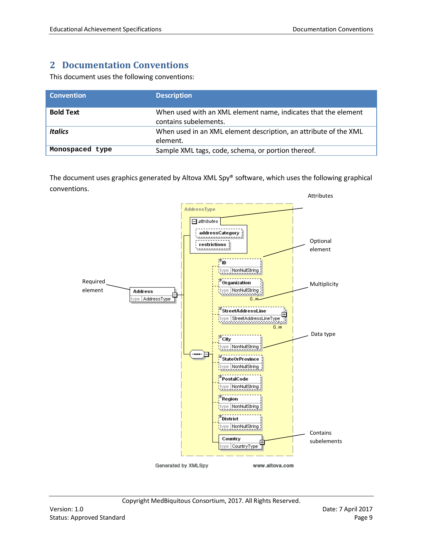# <span id="page-8-0"></span>**2 Documentation Conventions**

This document uses the following conventions:

| <b>Convention</b> | <b>Description</b>                                                                      |
|-------------------|-----------------------------------------------------------------------------------------|
| <b>Bold Text</b>  | When used with an XML element name, indicates that the element<br>contains subelements. |
| <b>Italics</b>    | When used in an XML element description, an attribute of the XML<br>element.            |
| Monospaced type   | Sample XML tags, code, schema, or portion thereof.                                      |

The document uses graphics generated by Altova XML Spy® software, which uses the following graphical conventions.

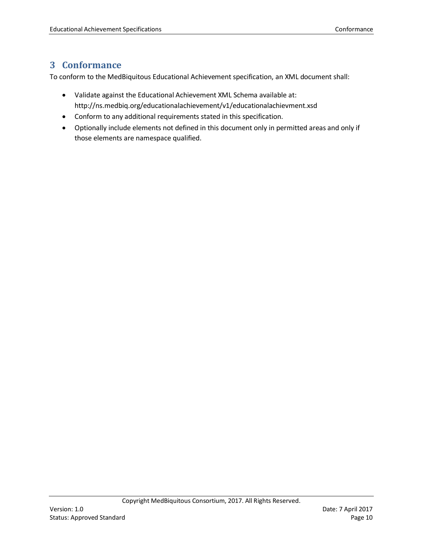# <span id="page-9-0"></span>**3 Conformance**

To conform to the MedBiquitous Educational Achievement specification, an XML document shall:

- Validate against the Educational Achievement XML Schema available at: http://ns.medbiq.org/educationalachievement/v1/educationalachievment.xsd
- Conform to any additional requirements stated in this specification.
- Optionally include elements not defined in this document only in permitted areas and only if those elements are namespace qualified.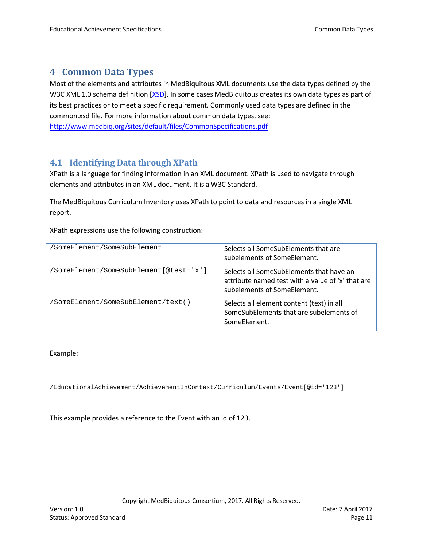### <span id="page-10-0"></span>**4 Common Data Types**

Most of the elements and attributes in MedBiquitous XML documents use the data types defined by the W3C XML 1.0 schema definition [\[XSD\]](#page-91-0). In some cases MedBiquitous creates its own data types as part of its best practices or to meet a specific requirement. Commonly used data types are defined in the common.xsd file. For more information about common data types, see: <http://www.medbiq.org/sites/default/files/CommonSpecifications.pdf>

### <span id="page-10-1"></span>**4.1 Identifying Data through XPath**

XPath is a language for finding information in an XML document. XPath is used to navigate through elements and attributes in an XML document. It is a W3C Standard.

The MedBiquitous Curriculum Inventory uses XPath to point to data and resources in a single XML report.

XPath expressions use the following construction:

| 'SomeElement/SomeSubElement            | Selects all SomeSubElements that are<br>subelements of SomeElement.                                                          |
|----------------------------------------|------------------------------------------------------------------------------------------------------------------------------|
| 'SomeElement/SomeSubElement[@test='x'] | Selects all SomeSubElements that have an<br>attribute named test with a value of 'x' that are<br>subelements of SomeElement. |
| 'SomeElement/SomeSubElement/text()     | Selects all element content (text) in all<br>SomeSubElements that are subelements of<br>SomeFlement.                         |

#### Example:

/EducationalAchievement/AchievementInContext/Curriculum/Events/Event[@id='123']

This example provides a reference to the Event with an id of 123.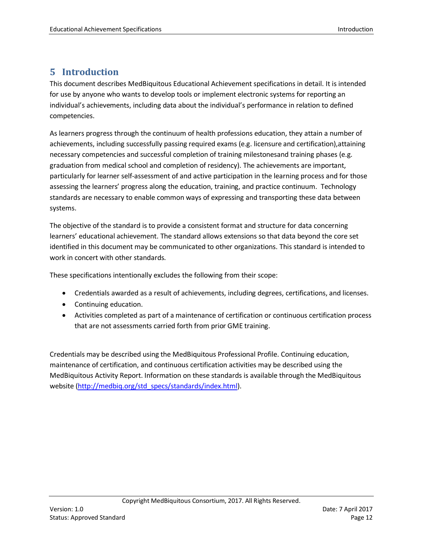# <span id="page-11-0"></span>**5 Introduction**

This document describes MedBiquitous Educational Achievement specifications in detail. It is intended for use by anyone who wants to develop tools or implement electronic systems for reporting an individual's achievements, including data about the individual's performance in relation to defined competencies.

As learners progress through the continuum of health professions education, they attain a number of achievements, including successfully passing required exams (e.g. licensure and certification),attaining necessary competencies and successful completion of training milestonesand training phases (e.g. graduation from medical school and completion of residency). The achievements are important, particularly for learner self-assessment of and active participation in the learning process and for those assessing the learners' progress along the education, training, and practice continuum. Technology standards are necessary to enable common ways of expressing and transporting these data between systems.

The objective of the standard is to provide a consistent format and structure for data concerning learners' educational achievement. The standard allows extensions so that data beyond the core set identified in this document may be communicated to other organizations. This standard is intended to work in concert with other standards.

These specifications intentionally excludes the following from their scope:

- Credentials awarded as a result of achievements, including degrees, certifications, and licenses.
- Continuing education.
- Activities completed as part of a maintenance of certification or continuous certification process that are not assessments carried forth from prior GME training.

Credentials may be described using the MedBiquitous Professional Profile. Continuing education, maintenance of certification, and continuous certification activities may be described using the MedBiquitous Activity Report. Information on these standards is available through the MedBiquitous website [\(http://medbiq.org/std\\_specs/standards/index.html\)](http://medbiq.org/std_specs/standards/index.html).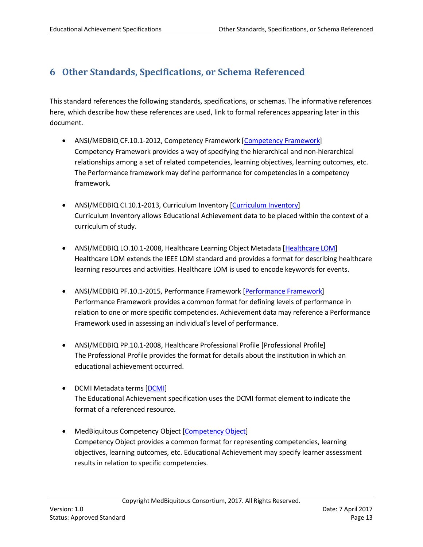# <span id="page-12-0"></span>**6 Other Standards, Specifications, or Schema Referenced**

This standard references the following standards, specifications, or schemas. The informative references here, which describe how these references are used, link to formal references appearing later in this document.

- ANSI/MEDBIQ CF.10.1-2012, Competency Framework [Competency Framework] Competency Framework provides a way of specifying the hierarchical and non-hierarchical relationships among a set of related competencies, learning objectives, learning outcomes, etc. The Performance framework may define performance for competencies in a competency framework.
- ANSI/MEDBIQ CI.10.1-2013, Curriculum Inventory [\[Curriculum Inventory\]](#page-14-1) Curriculum Inventory allows Educational Achievement data to be placed within the context of a curriculum of study.
- ANSI/MEDBIQ LO.10.1-2008, Healthcare Learning Object Metadata [\[Healthcare LOM\]](#page-90-0) Healthcare LOM extends the IEEE LOM standard and provides a format for describing healthcare learning resources and activities. Healthcare LOM is used to encode keywords for events.
- ANSI/MEDBIQ PF.10.1-2015, Performance Framework [\[Performance Framework\]](#page-90-1) Performance Framework provides a common format for defining levels of performance in relation to one or more specific competencies. Achievement data may reference a Performance Framework used in assessing an individual's level of performance.
- ANSI/MEDBIQ PP.10.1-2008, Healthcare Professional Profile [Professional Profile] The Professional Profile provides the format for details about the institution in which an educational achievement occurred.
- DCMI Metadata terms [DCMI] The Educational Achievement specification uses the DCMI format element to indicate the format of a referenced resource.
- MedBiquitous Competency Object [\[Competency Object\]](#page-89-1) Competency Object provides a common format for representing competencies, learning objectives, learning outcomes, etc. Educational Achievement may specify learner assessment results in relation to specific competencies.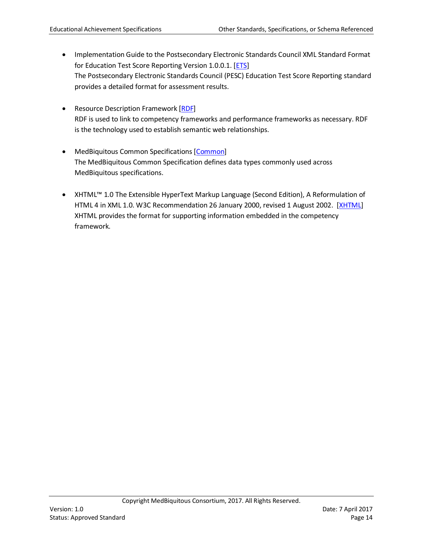- Implementation Guide to the Postsecondary Electronic Standards Council XML Standard Format for Education Test Score Reporting Version 1.0.0.1. [\[ETS\]](#page-89-2) The Postsecondary Electronic Standards Council (PESC) Education Test Score Reporting standard provides a detailed format for assessment results.
- Resource Description Framework [RDF] RDF is used to link to competency frameworks and performance frameworks as necessary. RDF is the technology used to establish semantic web relationships.
- MedBiquitous Common Specifications [\[Common\]](#page-89-3) The MedBiquitous Common Specification defines data types commonly used across MedBiquitous specifications.
- XHTML™ 1.0 The Extensible HyperText Markup Language (Second Edition), A Reformulation of HTML 4 in XML 1.0. W3C Recommendation 26 January 2000, revised 1 August 2002. [\[XHTML\]](#page-91-1) XHTML provides the format for supporting information embedded in the competency framework.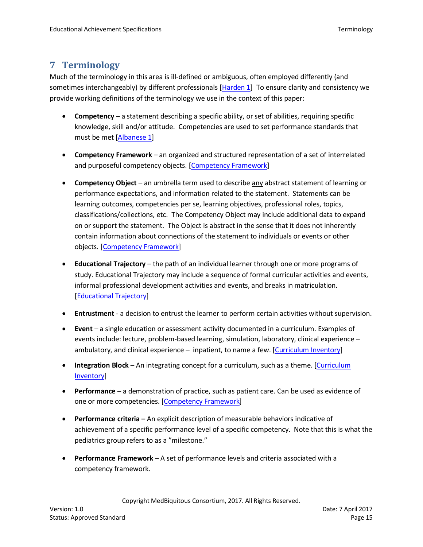# <span id="page-14-0"></span>**7 Terminology**

Much of the terminology in this area is ill-defined or ambiguous, often employed differently (and sometimes interchangeably) by different professionals [\[Harden 1\]](#page-89-4) To ensure clarity and consistency we provide working definitions of the terminology we use in the context of this paper:

- **Competency** a statement describing a specific ability, or set of abilities, requiring specific knowledge, skill and/or attitude. Competencies are used to set performance standards that must be met [\[Albanese 1\]](#page-89-1)
- **Competency Framework** an organized and structured representation of a set of interrelated and purposeful competency objects. [\[Competency Framework\]](#page-89-5)
- **Competency Object** an umbrella term used to describe any abstract statement of learning or performance expectations, and information related to the statement. Statements can be learning outcomes, competencies per se, learning objectives, professional roles, topics, classifications/collections, etc. The Competency Object may include additional data to expand on or support the statement. The Object is abstract in the sense that it does not inherently contain information about connections of the statement to individuals or events or other objects. [\[Competency](#page-89-5) Framework]
- **Educational Trajectory**  the path of an individual learner through one or more programs of study. Educational Trajectory may include a sequence of formal curricular activities and events, informal professional development activities and events, and breaks in matriculation. [\[Educational Trajectory\]](#page-89-6)
- **Entrustment**  a decision to entrust the learner to perform certain activities without supervision.
- **Event**  a single education or assessment activity documented in a curriculum. Examples of events include: lecture, problem-based learning, simulation, laboratory, clinical experience – ambulatory, and clinical experience – inpatient, to name a few. [\[Curriculum Inventory\]](#page-14-1)
- <span id="page-14-1"></span>• **Integration Block** – An integrating concept for a curriculum, such as a theme. [\[Curriculum](#page-14-1)  [Inventory\]](#page-14-1)
- **Performance**  a demonstration of practice, such as patient care. Can be used as evidence of one or more competencies. [\[Competency](#page-89-5) Framework]
- **Performance criteria –** An explicit description of measurable behaviors indicative of achievement of a specific performance level of a specific competency. Note that this is what the pediatrics group refers to as a "milestone."
- **Performance Framework** A set of performance levels and criteria associated with a competency framework.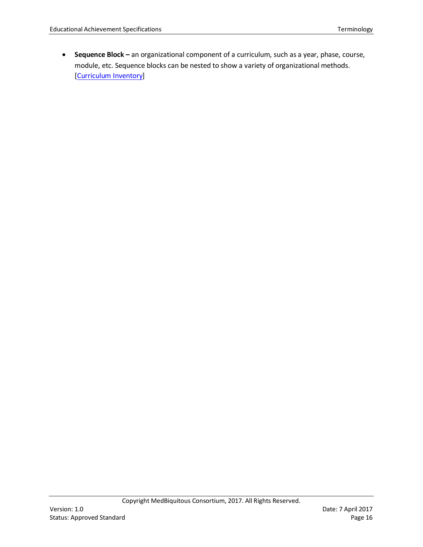• **Sequence Block –** an organizational component of a curriculum, such as a year, phase, course, module, etc. Sequence blocks can be nested to show a variety of organizational methods. [\[Curriculum Inventory\]](#page-14-1)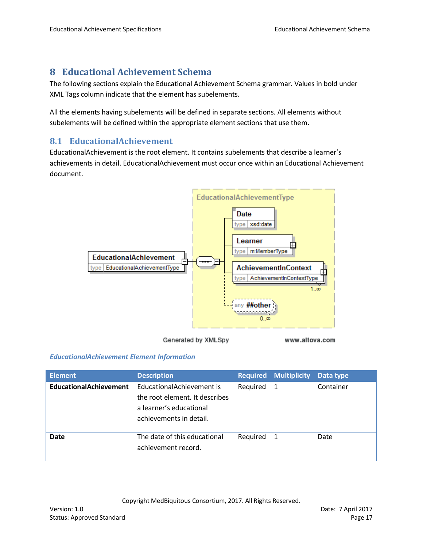# <span id="page-16-2"></span><span id="page-16-0"></span>**8 Educational Achievement Schema**

The following sections explain the Educational Achievement Schema grammar. Values in bold under XML Tags column indicate that the element has subelements.

All the elements having subelements will be defined in separate sections. All elements without subelements will be defined within the appropriate element sections that use them.

### <span id="page-16-1"></span>**8.1 EducationalAchievement**

EducationalAchievement is the root element. It contains subelements that describe a learner's achievements in detail. EducationalAchievement must occur once within an Educational Achievement document.



Generated by XMLSpy

www.altova.com

#### *EducationalAchievement Element Information*

| <b>Element</b>                | <b>Description</b>                                                                                                |            | <b>Required Multiplicity</b> | Data type |
|-------------------------------|-------------------------------------------------------------------------------------------------------------------|------------|------------------------------|-----------|
| <b>EducationalAchievement</b> | EducationalAchievement is<br>the root element. It describes<br>a learner's educational<br>achievements in detail. | Required 1 |                              | Container |
| <b>Date</b>                   | The date of this educational<br>achievement record.                                                               | Required   | $\mathbf{1}$                 | Date      |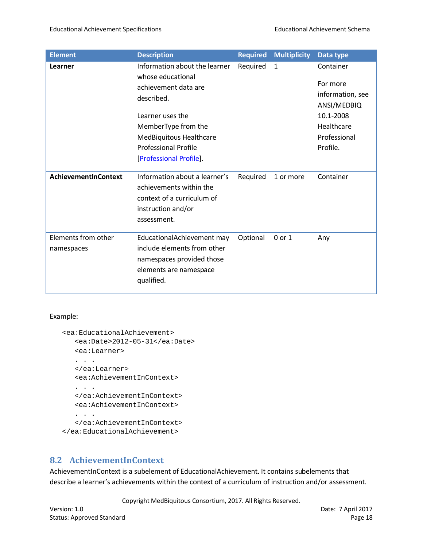| <b>Element</b>                    | <b>Description</b>                                                                                                                                                                                                       | <b>Required</b> | <b>Multiplicity</b> | Data type                                                                                                       |
|-----------------------------------|--------------------------------------------------------------------------------------------------------------------------------------------------------------------------------------------------------------------------|-----------------|---------------------|-----------------------------------------------------------------------------------------------------------------|
| Learner                           | Information about the learner<br>whose educational<br>achievement data are<br>described.<br>Learner uses the<br>MemberType from the<br>MedBiquitous Healthcare<br><b>Professional Profile</b><br>[Professional Profile]. | Required        | 1                   | Container<br>For more<br>information, see<br>ANSI/MEDBIQ<br>10.1-2008<br>Healthcare<br>Professional<br>Profile. |
| <b>AchievementInContext</b>       | Information about a learner's<br>achievements within the<br>context of a curriculum of<br>instruction and/or<br>assessment.                                                                                              | Required        | 1 or more           | Container                                                                                                       |
| Elements from other<br>namespaces | EducationalAchievement may<br>include elements from other<br>namespaces provided those<br>elements are namespace<br>qualified.                                                                                           | Optional        | 0 or 1              | Any                                                                                                             |

#### Example:

```
<ea:EducationalAchievement>
  <ea:Date>2012-05-31</ea:Date>
  <ea:Learner>
   . . .
  </ea:Learner>
  <ea:AchievementInContext>
   . . .
  </ea:AchievementInContext>
  <ea:AchievementInContext>
   . . .
  </ea:AchievementInContext>
</ea:EducationalAchievement>
```
### <span id="page-17-0"></span>**8.2 AchievementInContext**

AchievementInContext is a subelement of EducationalAchievement. It contains subelements that describe a learner's achievements within the context of a curriculum of instruction and/or assessment.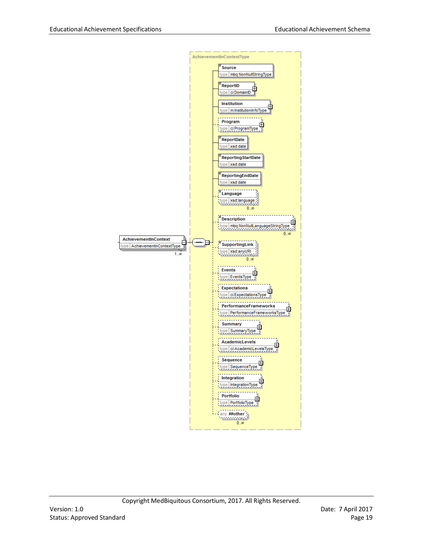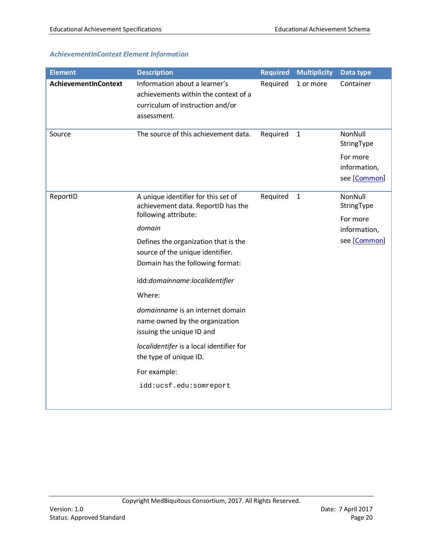#### *AchievementInContext Element Information*

| <b>Element</b>       | <b>Description</b>                                                                                                       | <b>Required</b> | <b>Multiplicity</b> | Data type                                |
|----------------------|--------------------------------------------------------------------------------------------------------------------------|-----------------|---------------------|------------------------------------------|
| AchievementInContext | Information about a learner's<br>achievements within the context of a<br>curriculum of instruction and/or<br>assessment. | Required        | 1 or more           | Container                                |
| Source               | The source of this achievement data.                                                                                     | Required        | $1\,$               | NonNull<br>StringType                    |
|                      |                                                                                                                          |                 |                     | For more<br>information,<br>see [Common] |
| ReportID             | A unique identifier for this set of<br>achievement data. ReportID has the                                                | Required        | $\mathbf{1}$        | NonNull<br>StringType                    |
|                      | following attribute:<br>domain                                                                                           |                 |                     | For more<br>information,                 |
|                      | Defines the organization that is the<br>source of the unique identifier.<br>Domain has the following format:             |                 |                     | see [Common]                             |
|                      | idd:domainname:localidentifier                                                                                           |                 |                     |                                          |
|                      | Where:                                                                                                                   |                 |                     |                                          |
|                      | domainname is an internet domain<br>name owned by the organization<br>issuing the unique ID and                          |                 |                     |                                          |
|                      | localidentifer is a local identifier for<br>the type of unique ID.                                                       |                 |                     |                                          |
|                      | For example:                                                                                                             |                 |                     |                                          |
|                      | idd:ucsf.edu:somreport                                                                                                   |                 |                     |                                          |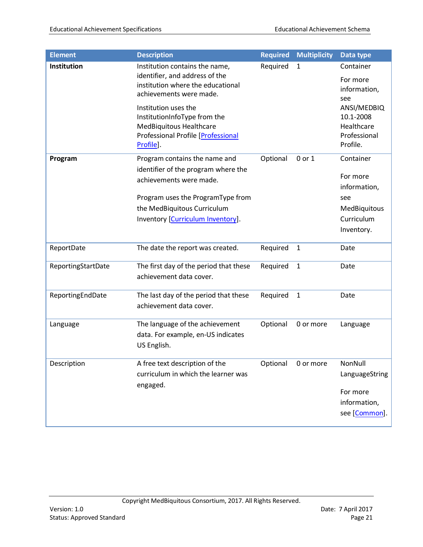| <b>Element</b>     | <b>Description</b>                                                                                                                                                                                       | <b>Required</b> | <b>Multiplicity</b> | Data type                                                                                |
|--------------------|----------------------------------------------------------------------------------------------------------------------------------------------------------------------------------------------------------|-----------------|---------------------|------------------------------------------------------------------------------------------|
| Institution        | Institution contains the name,<br>identifier, and address of the<br>institution where the educational<br>achievements were made.                                                                         | Required        | 1                   | Container<br>For more<br>information,<br>see                                             |
|                    | Institution uses the<br>InstitutionInfoType from the<br>MedBiquitous Healthcare<br>Professional Profile [Professional<br>Profile].                                                                       |                 |                     | ANSI/MEDBIQ<br>10.1-2008<br>Healthcare<br>Professional<br>Profile.                       |
| Program            | Program contains the name and<br>identifier of the program where the<br>achievements were made.<br>Program uses the ProgramType from<br>the MedBiquitous Curriculum<br>Inventory [Curriculum Inventory]. | Optional        | 0 or 1              | Container<br>For more<br>information,<br>see<br>MedBiquitous<br>Curriculum<br>Inventory. |
| ReportDate         | The date the report was created.                                                                                                                                                                         | Required        | $\mathbf{1}$        | Date                                                                                     |
| ReportingStartDate | The first day of the period that these<br>achievement data cover.                                                                                                                                        | Required        | $\mathbf{1}$        | Date                                                                                     |
| ReportingEndDate   | The last day of the period that these<br>achievement data cover.                                                                                                                                         | Required        | $\mathbf{1}$        | Date                                                                                     |
| Language           | The language of the achievement<br>data. For example, en-US indicates<br>US English.                                                                                                                     | Optional        | 0 or more           | Language                                                                                 |
| Description        | A free text description of the<br>curriculum in which the learner was<br>engaged.                                                                                                                        | Optional        | 0 or more           | NonNull<br>LanguageString<br>For more<br>information,<br>see [Common].                   |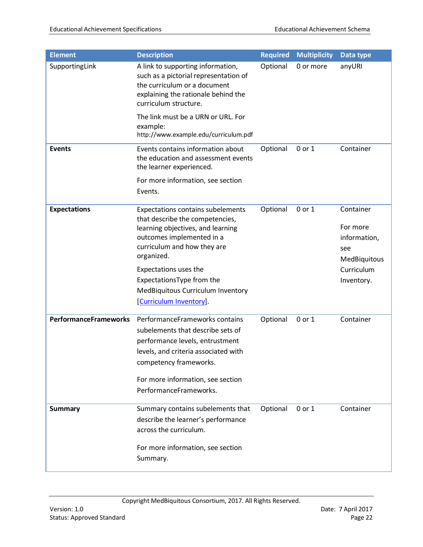| <b>Element</b>               | <b>Description</b>                                                                                                                                                                                                                                                                                               | <b>Required</b> | <b>Multiplicity</b> | Data type                                                                                |
|------------------------------|------------------------------------------------------------------------------------------------------------------------------------------------------------------------------------------------------------------------------------------------------------------------------------------------------------------|-----------------|---------------------|------------------------------------------------------------------------------------------|
| SupportingLink               | A link to supporting information,<br>such as a pictorial representation of<br>the curriculum or a document<br>explaining the rationale behind the<br>curriculum structure.                                                                                                                                       | Optional        | 0 or more           | anyURI                                                                                   |
|                              | The link must be a URN or URL. For<br>example:<br>http://www.example.edu/curriculum.pdf                                                                                                                                                                                                                          |                 |                     |                                                                                          |
| <b>Events</b>                | Events contains information about<br>the education and assessment events<br>the learner experienced.                                                                                                                                                                                                             | Optional        | 0 or 1              | Container                                                                                |
|                              | For more information, see section<br>Events.                                                                                                                                                                                                                                                                     |                 |                     |                                                                                          |
| <b>Expectations</b>          | <b>Expectations contains subelements</b><br>that describe the competencies,<br>learning objectives, and learning<br>outcomes implemented in a<br>curriculum and how they are<br>organized.<br>Expectations uses the<br>ExpectationsType from the<br>MedBiquitous Curriculum Inventory<br>[Curriculum Inventory]. | Optional        | 0 or 1              | Container<br>For more<br>information,<br>see<br>MedBiquitous<br>Curriculum<br>Inventory. |
| <b>PerformanceFrameworks</b> | PerformanceFrameworks contains<br>subelements that describe sets of<br>performance levels, entrustment<br>levels, and criteria associated with<br>competency frameworks.<br>For more information, see section<br>PerformanceFrameworks.                                                                          | Optional        | 0 or 1              | Container                                                                                |
| <b>Summary</b>               | Summary contains subelements that<br>describe the learner's performance<br>across the curriculum.<br>For more information, see section<br>Summary.                                                                                                                                                               | Optional        | 0 or 1              | Container                                                                                |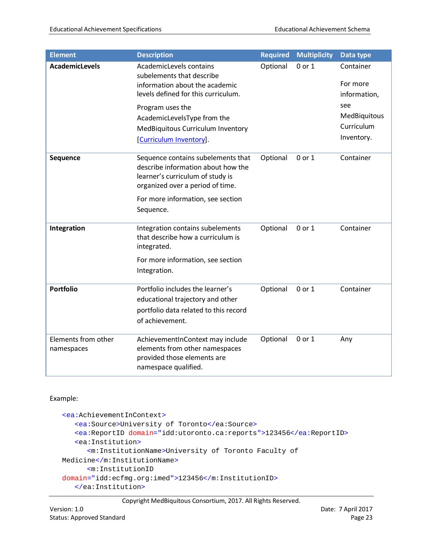| <b>Element</b>                    | <b>Description</b>                                                                                                                               | <b>Required</b> | <b>Multiplicity</b> | Data type                             |
|-----------------------------------|--------------------------------------------------------------------------------------------------------------------------------------------------|-----------------|---------------------|---------------------------------------|
| <b>AcademicLevels</b>             | AcademicLevels contains<br>subelements that describe<br>information about the academic<br>levels defined for this curriculum.                    | Optional        | 0 or 1              | Container<br>For more<br>information, |
|                                   | Program uses the                                                                                                                                 |                 |                     | see<br>MedBiquitous                   |
|                                   | AcademicLevelsType from the<br>MedBiquitous Curriculum Inventory                                                                                 |                 |                     | Curriculum                            |
|                                   | [Curriculum Inventory].                                                                                                                          |                 |                     | Inventory.                            |
| Sequence                          | Sequence contains subelements that<br>describe information about how the<br>learner's curriculum of study is<br>organized over a period of time. | Optional        | 0 or 1              | Container                             |
|                                   | For more information, see section<br>Sequence.                                                                                                   |                 |                     |                                       |
| Integration                       | Integration contains subelements<br>that describe how a curriculum is<br>integrated.                                                             | Optional        | 0 or 1              | Container                             |
|                                   | For more information, see section<br>Integration.                                                                                                |                 |                     |                                       |
| <b>Portfolio</b>                  | Portfolio includes the learner's<br>educational trajectory and other<br>portfolio data related to this record<br>of achievement.                 | Optional        | 0 or 1              | Container                             |
| Elements from other<br>namespaces | AchievementInContext may include<br>elements from other namespaces<br>provided those elements are<br>namespace qualified.                        | Optional        | 0 or 1              | Any                                   |

#### Example:

```
<ea:AchievementInContext>
   <ea:Source>University of Toronto</ea:Source>
   <ea:ReportID domain="idd:utoronto.ca:reports">123456</ea:ReportID>
   <ea:Institution>
      <m:InstitutionName>University of Toronto Faculty of 
Medicine</m:InstitutionName>
      <m:InstitutionID
domain="idd:ecfmg.org:imed">123456</m:InstitutionID>
   </ea:Institution>
```

```
Copyright MedBiquitous Consortium, 2017. All Rights Reserved.
```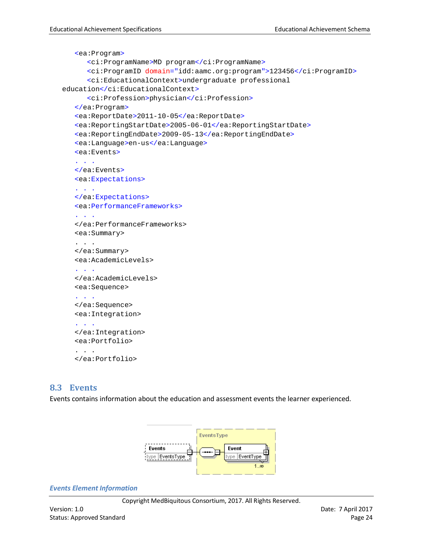```
<ea:Program>
      <ci:ProgramName>MD program</ci:ProgramName>
      <ci:ProgramID domain="idd:aamc.org:program">123456</ci:ProgramID>
      <ci:EducationalContext>undergraduate professional 
education</ci:EducationalContext>
      <ci:Profession>physician</ci:Profession>
   </ea:Program>
   <ea:ReportDate>2011-10-05</ea:ReportDate>
   <ea:ReportingStartDate>2005-06-01</ea:ReportingStartDate>
   <ea:ReportingEndDate>2009-05-13</ea:ReportingEndDate>
   <ea:Language>en-us</ea:Language>
   <ea:Events>
   . . .
   </ea:Events>
   <ea:Expectations>
   . . . .
   </ea:Expectations>
   <ea:PerformanceFrameworks>
   . . .
   </ea:PerformanceFrameworks>
   <ea:Summary>
   . . .
   </ea:Summary>
   <ea:AcademicLevels>
   . . . .
   </ea:AcademicLevels>
   <ea:Sequence>
   . . .
   </ea:Sequence>
   <ea:Integration>
   . . .
   </ea:Integration>
   <ea:Portfolio>
   . . .
   </ea:Portfolio>
```
#### <span id="page-23-0"></span>**8.3 Events**

Events contains information about the education and assessment events the learner experienced.



#### *Events Element Information*

Copyright MedBiquitous Consortium, 2017. All Rights Reserved.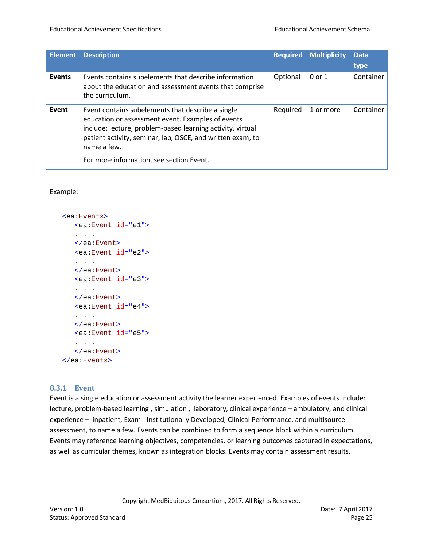| <b>Element</b> | <b>Description</b>                                                                                                                                                                                                                                                                            | <b>Required</b> | <b>Multiplicity</b> | <b>Data</b><br>type |
|----------------|-----------------------------------------------------------------------------------------------------------------------------------------------------------------------------------------------------------------------------------------------------------------------------------------------|-----------------|---------------------|---------------------|
| <b>Events</b>  | Events contains subelements that describe information<br>about the education and assessment events that comprise<br>the curriculum.                                                                                                                                                           | Optional        | 0 or 1              | Container           |
| Event          | Event contains subelements that describe a single<br>education or assessment event. Examples of events<br>include: lecture, problem-based learning activity, virtual<br>patient activity, seminar, lab, OSCE, and written exam, to<br>name a few.<br>For more information, see section Event. | Required        | 1 or more           | Container           |

#### Example:

```
<ea:Events>
  <ea:Event id="e1">
   . . .
   </ea:Event>
   <ea:Event id="e2">
   . . .
   </ea:Event>
   <ea:Event id="e3">
   . . . .
   </ea:Event>
   <ea:Event id="e4">
   . . .
   </ea:Event>
   <ea:Event id="e5">
   . . .
   </ea:Event>
</ea:Events>
```
#### <span id="page-24-0"></span>**8.3.1 Event**

Event is a single education or assessment activity the learner experienced. Examples of events include: lecture, problem-based learning , simulation , laboratory, clinical experience – ambulatory, and clinical experience – inpatient, Exam - Institutionally Developed, Clinical Performance, and multisource assessment, to name a few. Events can be combined to form a sequence block within a curriculum. Events may reference learning objectives, competencies, or learning outcomes captured in expectations, as well as curricular themes, known as integration blocks. Events may contain assessment results.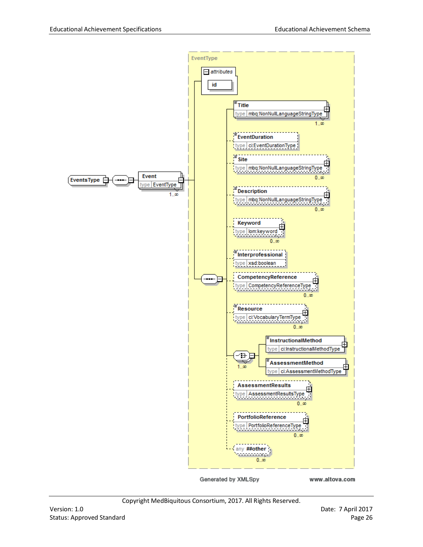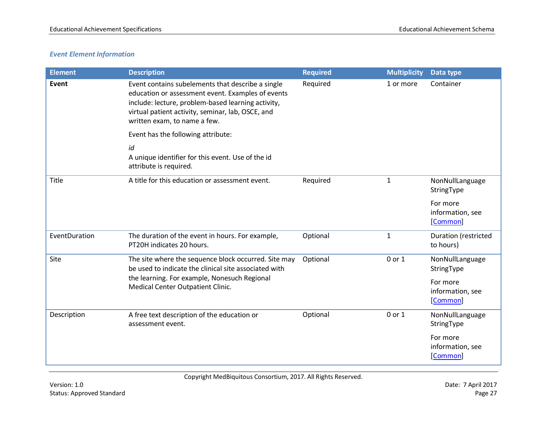#### *Event Element Information*

| <b>Element</b> | <b>Description</b>                                                                                                                                                                                                                                | <b>Required</b> | <b>Multiplicity</b> | Data type                                                                 |
|----------------|---------------------------------------------------------------------------------------------------------------------------------------------------------------------------------------------------------------------------------------------------|-----------------|---------------------|---------------------------------------------------------------------------|
| Event          | Event contains subelements that describe a single<br>education or assessment event. Examples of events<br>include: lecture, problem-based learning activity,<br>virtual patient activity, seminar, lab, OSCE, and<br>written exam, to name a few. | Required        | 1 or more           | Container                                                                 |
|                | Event has the following attribute:                                                                                                                                                                                                                |                 |                     |                                                                           |
|                | id<br>A unique identifier for this event. Use of the id<br>attribute is required.                                                                                                                                                                 |                 |                     |                                                                           |
| Title          | A title for this education or assessment event.                                                                                                                                                                                                   | Required        | $\mathbf{1}$        | NonNullLanguage<br>StringType                                             |
|                |                                                                                                                                                                                                                                                   |                 |                     | For more<br>information, see<br>[Common]                                  |
| EventDuration  | The duration of the event in hours. For example,<br>PT20H indicates 20 hours.                                                                                                                                                                     | Optional        | $\mathbf{1}$        | Duration (restricted<br>to hours)                                         |
| Site           | The site where the sequence block occurred. Site may<br>be used to indicate the clinical site associated with<br>the learning. For example, Nonesuch Regional<br>Medical Center Outpatient Clinic.                                                | Optional        | 0 or 1              | NonNullLanguage<br>StringType<br>For more<br>information, see<br>[Common] |
| Description    | A free text description of the education or<br>assessment event.                                                                                                                                                                                  | Optional        | 0 or 1              | NonNullLanguage<br>StringType<br>For more                                 |
|                |                                                                                                                                                                                                                                                   |                 |                     | information, see<br>[Common]                                              |

Copyright MedBiquitous Consortium, 2017. All Rights Reserved.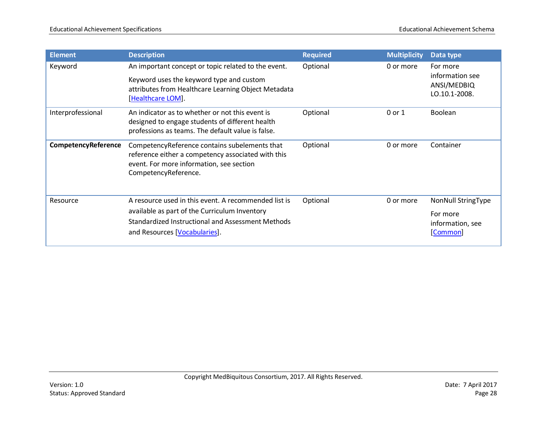| <b>Element</b>      | <b>Description</b>                                                                                                                                                                          | <b>Required</b> | <b>Multiplicity</b> | Data type                                                             |
|---------------------|---------------------------------------------------------------------------------------------------------------------------------------------------------------------------------------------|-----------------|---------------------|-----------------------------------------------------------------------|
| Keyword             | An important concept or topic related to the event.<br>Keyword uses the keyword type and custom<br>attributes from Healthcare Learning Object Metadata<br>[Healthcare LOM].                 | Optional        | 0 or more           | For more<br>information see<br>ANSI/MEDBIQ<br>LO.10.1-2008.           |
| Interprofessional   | An indicator as to whether or not this event is<br>designed to engage students of different health<br>professions as teams. The default value is false.                                     | Optional        | 0 or 1              | <b>Boolean</b>                                                        |
| CompetencyReference | CompetencyReference contains subelements that<br>reference either a competency associated with this<br>event. For more information, see section<br>CompetencyReference.                     | Optional        | 0 or more           | Container                                                             |
| Resource            | A resource used in this event. A recommended list is<br>available as part of the Curriculum Inventory<br>Standardized Instructional and Assessment Methods<br>and Resources [Vocabularies]. | Optional        | 0 or more           | <b>NonNull StringType</b><br>For more<br>information, see<br>[Common] |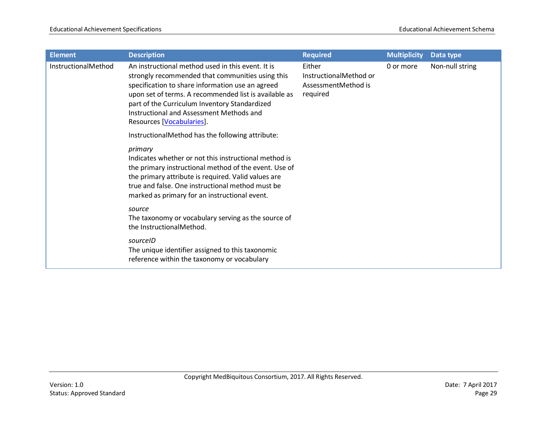| <b>Element</b>      | <b>Description</b>                                                                                                                                                                                                                                                                                                                           | <b>Required</b>                                                     | <b>Multiplicity</b> | Data type       |
|---------------------|----------------------------------------------------------------------------------------------------------------------------------------------------------------------------------------------------------------------------------------------------------------------------------------------------------------------------------------------|---------------------------------------------------------------------|---------------------|-----------------|
| InstructionalMethod | An instructional method used in this event. It is<br>strongly recommended that communities using this<br>specification to share information use an agreed<br>upon set of terms. A recommended list is available as<br>part of the Curriculum Inventory Standardized<br>Instructional and Assessment Methods and<br>Resources [Vocabularies]. | Either<br>InstructionalMethod or<br>AssessmentMethod is<br>required | 0 or more           | Non-null string |
|                     | InstructionalMethod has the following attribute:                                                                                                                                                                                                                                                                                             |                                                                     |                     |                 |
|                     | primary<br>Indicates whether or not this instructional method is<br>the primary instructional method of the event. Use of<br>the primary attribute is required. Valid values are<br>true and false. One instructional method must be<br>marked as primary for an instructional event.                                                        |                                                                     |                     |                 |
|                     | source<br>The taxonomy or vocabulary serving as the source of<br>the InstructionalMethod.                                                                                                                                                                                                                                                    |                                                                     |                     |                 |
|                     | sourceID<br>The unique identifier assigned to this taxonomic<br>reference within the taxonomy or vocabulary                                                                                                                                                                                                                                  |                                                                     |                     |                 |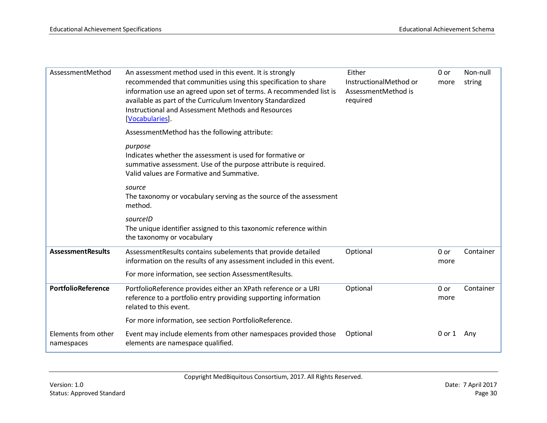| AssessmentMethod                  | An assessment method used in this event. It is strongly<br>recommended that communities using this specification to share<br>information use an agreed upon set of terms. A recommended list is<br>available as part of the Curriculum Inventory Standardized<br>Instructional and Assessment Methods and Resources<br>[Vocabularies].<br>AssessmentMethod has the following attribute:<br>purpose<br>Indicates whether the assessment is used for formative or<br>summative assessment. Use of the purpose attribute is required.<br>Valid values are Formative and Summative.<br>source<br>The taxonomy or vocabulary serving as the source of the assessment<br>method.<br>sourceID | Either<br>InstructionalMethod or<br>AssessmentMethod is<br>required | $0$ or<br>more | Non-null<br>string |
|-----------------------------------|----------------------------------------------------------------------------------------------------------------------------------------------------------------------------------------------------------------------------------------------------------------------------------------------------------------------------------------------------------------------------------------------------------------------------------------------------------------------------------------------------------------------------------------------------------------------------------------------------------------------------------------------------------------------------------------|---------------------------------------------------------------------|----------------|--------------------|
|                                   | The unique identifier assigned to this taxonomic reference within<br>the taxonomy or vocabulary                                                                                                                                                                                                                                                                                                                                                                                                                                                                                                                                                                                        |                                                                     |                |                    |
| <b>AssessmentResults</b>          | AssessmentResults contains subelements that provide detailed<br>information on the results of any assessment included in this event.<br>For more information, see section AssessmentResults.                                                                                                                                                                                                                                                                                                                                                                                                                                                                                           | Optional                                                            | $0$ or<br>more | Container          |
| PortfolioReference                | PortfolioReference provides either an XPath reference or a URI<br>reference to a portfolio entry providing supporting information<br>related to this event.                                                                                                                                                                                                                                                                                                                                                                                                                                                                                                                            | Optional                                                            | 0 or<br>more   | Container          |
|                                   | For more information, see section PortfolioReference.                                                                                                                                                                                                                                                                                                                                                                                                                                                                                                                                                                                                                                  |                                                                     |                |                    |
| Elements from other<br>namespaces | Event may include elements from other namespaces provided those<br>elements are namespace qualified.                                                                                                                                                                                                                                                                                                                                                                                                                                                                                                                                                                                   | Optional                                                            | 0 or 1         | Any                |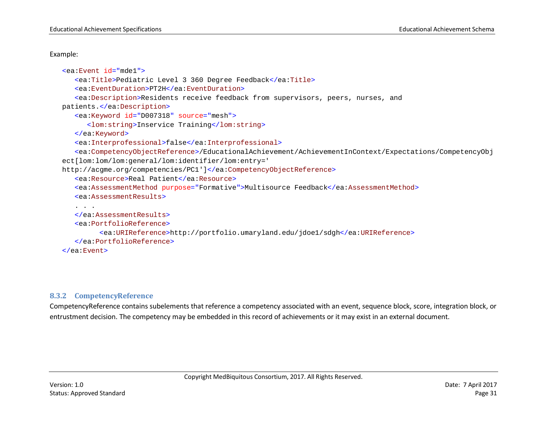#### Example:

```
<ea:Event id="mde1">
   <ea:Title>Pediatric Level 3 360 Degree Feedback</ea:Title>
   <ea:EventDuration>PT2H</ea:EventDuration>
   <ea:Description>Residents receive feedback from supervisors, peers, nurses, and 
patients.</ea:Description>
   <ea:Keyword id="D007318" source="mesh">
      <lom:string>Inservice Training</lom:string>
   </ea:Keyword>
   <ea:Interprofessional>false</ea:Interprofessional>
   <ea:CompetencyObjectReference>/EducationalAchievement/AchievementInContext/Expectations/CompetencyObj
ect[lom:lom/lom:general/lom:identifier/lom:entry=' 
http://acgme.org/competencies/PC1']</ea:CompetencyObjectReference>
   <ea:Resource>Real Patient</ea:Resource>
   <ea:AssessmentMethod purpose="Formative">Multisource Feedback</ea:AssessmentMethod>
   <ea:AssessmentResults>
   . . .
   </ea:AssessmentResults>
   <ea:PortfolioReference>
         <ea:URIReference>http://portfolio.umaryland.edu/jdoe1/sdgh</ea:URIReference>
   </ea:PortfolioReference>
</ea:Event>
```
#### **8.3.2 CompetencyReference**

<span id="page-30-0"></span>CompetencyReference contains subelements that reference a competency associated with an event, sequence block, score, integration block, or entrustment decision. The competency may be embedded in this record of achievements or it may exist in an external document.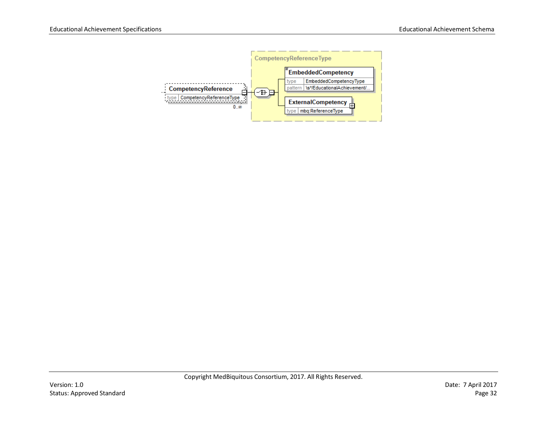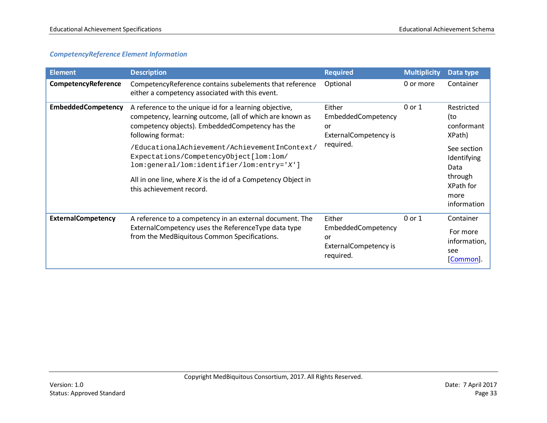#### *CompetencyReference Element Information*

| <b>Element</b>            | <b>Description</b>                                                                                                                                                                                                                                                                                                                                                                                                                | <b>Required</b>                                                                 | <b>Multiplicity</b> | Data type                                                                                                                      |
|---------------------------|-----------------------------------------------------------------------------------------------------------------------------------------------------------------------------------------------------------------------------------------------------------------------------------------------------------------------------------------------------------------------------------------------------------------------------------|---------------------------------------------------------------------------------|---------------------|--------------------------------------------------------------------------------------------------------------------------------|
| CompetencyReference       | CompetencyReference contains subelements that reference<br>either a competency associated with this event.                                                                                                                                                                                                                                                                                                                        | Optional                                                                        | 0 or more           | Container                                                                                                                      |
| <b>EmbeddedCompetency</b> | A reference to the unique id for a learning objective,<br>competency, learning outcome, (all of which are known as<br>competency objects). EmbeddedCompetency has the<br>following format:<br>/EducationalAchievement/AchievementInContext/<br>Expectations/CompetencyObject [lom:lom/<br>lom:general/lom:identifier/lom:entry='X']<br>All in one line, where $X$ is the id of a Competency Object in<br>this achievement record. | Either<br>EmbeddedCompetency<br>or<br><b>ExternalCompetency is</b><br>required. | 0 or 1              | Restricted<br>(to<br>conformant<br>XPath)<br>See section<br>Identifying<br>Data<br>through<br>XPath for<br>more<br>information |
| <b>ExternalCompetency</b> | A reference to a competency in an external document. The<br>ExternalCompetency uses the ReferenceType data type<br>from the MedBiquitous Common Specifications.                                                                                                                                                                                                                                                                   | Either<br>EmbeddedCompetency<br>or<br><b>ExternalCompetency is</b><br>required. | 0 or 1              | Container<br>For more<br>information,<br>see<br>[Common].                                                                      |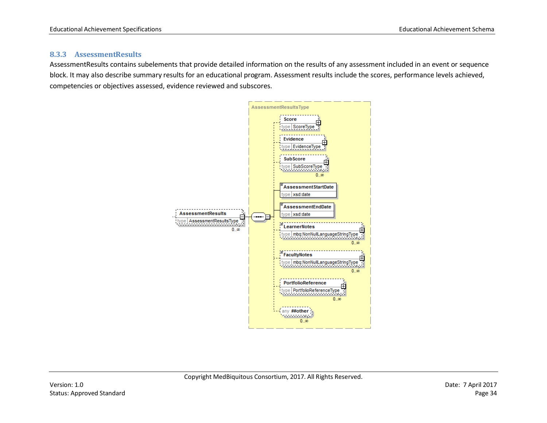#### **8.3.3 AssessmentResults**

<span id="page-33-0"></span>AssessmentResults contains subelements that provide detailed information on the results of any assessment included in an event or sequence block. It may also describe summary results for an educational program. Assessment results include the scores, performance levels achieved, competencies or objectives assessed, evidence reviewed and subscores.

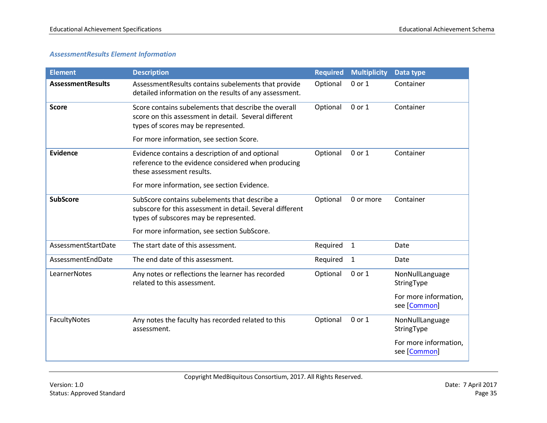#### *AssessmentResults Element Information*

| <b>Element</b>           | <b>Description</b>                                                                                                                                   | <b>Required</b> | <b>Multiplicity</b> | Data type                             |
|--------------------------|------------------------------------------------------------------------------------------------------------------------------------------------------|-----------------|---------------------|---------------------------------------|
| <b>AssessmentResults</b> | AssessmentResults contains subelements that provide<br>detailed information on the results of any assessment.                                        | Optional        | 0 or 1              | Container                             |
| <b>Score</b>             | Score contains subelements that describe the overall<br>score on this assessment in detail. Several different<br>types of scores may be represented. | Optional        | 0 or 1              | Container                             |
|                          | For more information, see section Score.                                                                                                             |                 |                     |                                       |
| <b>Evidence</b>          | Evidence contains a description of and optional<br>reference to the evidence considered when producing<br>these assessment results.                  | Optional        | 0 or 1              | Container                             |
|                          | For more information, see section Evidence.                                                                                                          |                 |                     |                                       |
| <b>SubScore</b>          | SubScore contains subelements that describe a<br>subscore for this assessment in detail. Several different<br>types of subscores may be represented. | Optional        | 0 or more           | Container                             |
|                          | For more information, see section SubScore.                                                                                                          |                 |                     |                                       |
| AssessmentStartDate      | The start date of this assessment.                                                                                                                   | Required        | $\mathbf{1}$        | Date                                  |
| AssessmentEndDate        | The end date of this assessment.                                                                                                                     | Required        | $\mathbf{1}$        | Date                                  |
| <b>LearnerNotes</b>      | Any notes or reflections the learner has recorded<br>related to this assessment.                                                                     | Optional        | 0 or 1              | NonNullLanguage<br>StringType         |
|                          |                                                                                                                                                      |                 |                     | For more information,<br>see [Common] |
| FacultyNotes             | Any notes the faculty has recorded related to this<br>assessment.                                                                                    | Optional        | 0 or 1              | NonNullLanguage<br>StringType         |
|                          |                                                                                                                                                      |                 |                     | For more information,<br>see [Common] |

Copyright MedBiquitous Consortium, 2017. All Rights Reserved.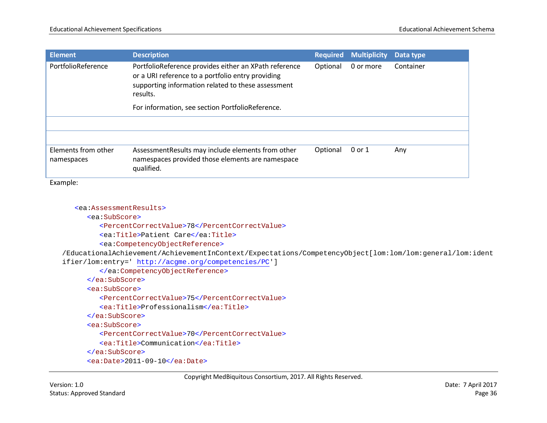| <b>Element</b>                    | <b>Description</b>                                                                                                                                                           | <b>Required</b> | <b>Multiplicity</b> | Data type |
|-----------------------------------|------------------------------------------------------------------------------------------------------------------------------------------------------------------------------|-----------------|---------------------|-----------|
| PortfolioReference                | PortfolioReference provides either an XPath reference<br>or a URI reference to a portfolio entry providing<br>supporting information related to these assessment<br>results. | Optional        | 0 or more           | Container |
|                                   | For information, see section PortfolioReference.                                                                                                                             |                 |                     |           |
|                                   |                                                                                                                                                                              |                 |                     |           |
|                                   |                                                                                                                                                                              |                 |                     |           |
| Elements from other<br>namespaces | AssessmentResults may include elements from other<br>namespaces provided those elements are namespace<br>qualified.                                                          | Optional        | 0 or 1              | Any       |

Example:

```
<ea:AssessmentResults>
```
<ea:SubScore>

<PercentCorrectValue>78</PercentCorrectValue>

<ea:Title>Patient Care</ea:Title>

<ea:CompetencyObjectReference>

/EducationalAchievement/AchievementInContext/Expectations/CompetencyObject[lom:lom/lom:general/lom:ident ifier/lom:entry='<http://acgme.org/competencies/PC>']

```
</ea:CompetencyObjectReference>
```
</ea:SubScore>

<ea:SubScore>

<PercentCorrectValue>75</PercentCorrectValue>

<ea:Title>Professionalism</ea:Title>

</ea:SubScore>

<ea:SubScore>

<PercentCorrectValue>70</PercentCorrectValue>

<ea:Title>Communication</ea:Title>

</ea:SubScore>

<ea:Date>2011-09-10</ea:Date>

Copyright MedBiquitous Consortium, 2017. All Rights Reserved.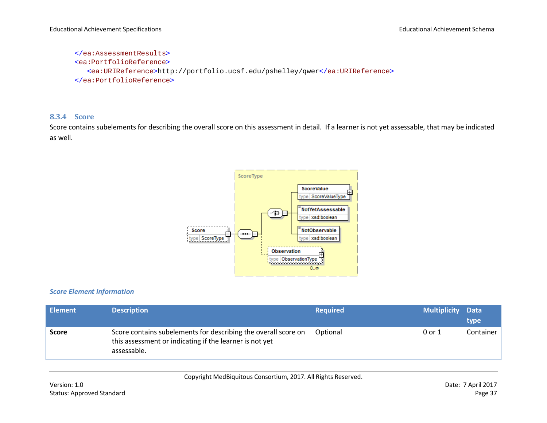```
</ea:AssessmentResults>
<ea:PortfolioReference>
  <ea:URIReference>http://portfolio.ucsf.edu/pshelley/qwer</ea:URIReference>
</ea:PortfolioReference>
```
### **8.3.4 Score**

Score contains subelements for describing the overall score on this assessment in detail. If a learner is not yet assessable, that may be indicated as well.



### *Score Element Information*

| <b>Element</b> | <b>Description</b>                                                                                                                       | <b>Required</b> | <b>Multiplicity</b> | Data<br>type |
|----------------|------------------------------------------------------------------------------------------------------------------------------------------|-----------------|---------------------|--------------|
| <b>Score</b>   | Score contains subelements for describing the overall score on<br>this assessment or indicating if the learner is not yet<br>assessable. | Optional        | 0 or 1              | Container    |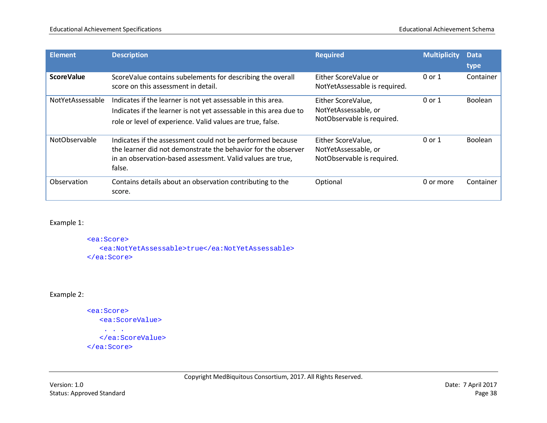| <b>Element</b>    | <b>Description</b>                                                                                                                                                                                  | <b>Required</b>                                                          | <b>Multiplicity</b> | <b>Data</b>    |
|-------------------|-----------------------------------------------------------------------------------------------------------------------------------------------------------------------------------------------------|--------------------------------------------------------------------------|---------------------|----------------|
|                   |                                                                                                                                                                                                     |                                                                          |                     | type           |
| <b>ScoreValue</b> | ScoreValue contains subelements for describing the overall<br>score on this assessment in detail.                                                                                                   | Either ScoreValue or<br>NotYetAssessable is required.                    | 0 or 1              | Container      |
| NotYetAssessable  | Indicates if the learner is not yet assessable in this area.<br>Indicates if the learner is not yet assessable in this area due to<br>role or level of experience. Valid values are true, false.    | Either ScoreValue,<br>NotYetAssessable, or<br>NotObservable is required. | 0 or 1              | <b>Boolean</b> |
| NotObservable     | Indicates if the assessment could not be performed because<br>the learner did not demonstrate the behavior for the observer<br>in an observation-based assessment. Valid values are true,<br>false. | Either ScoreValue,<br>NotYetAssessable, or<br>NotObservable is required. | 0 or 1              | <b>Boolean</b> |
| Observation       | Contains details about an observation contributing to the<br>score.                                                                                                                                 | Optional                                                                 | 0 or more           | Container      |

### Example 1:

```
<ea:Score>
   <ea:NotYetAssessable>true</ea:NotYetAssessable>
</ea:Score>
```
# Example 2:

```
<ea:Score>
   <ea:ScoreValue>
    . . .
  </ea:ScoreValue>
</ea:Score>
```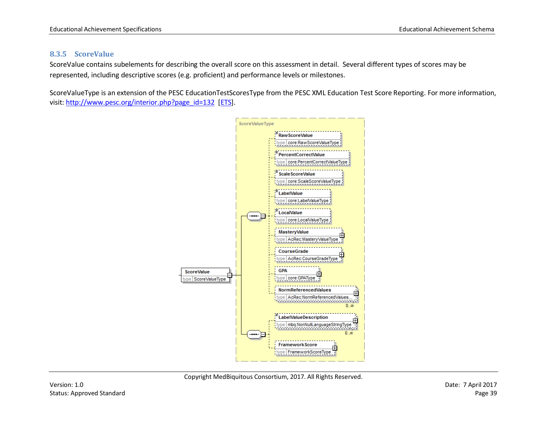### **8.3.5 ScoreValue**

ScoreValue contains subelements for describing the overall score on this assessment in detail. Several different types of scores may be represented, including descriptive scores (e.g. proficient) and performance levels or milestones.

ScoreValueType is an extension of the PESC EducationTestScoresType from the PESC XML Education Test Score Reporting. For more information, visit: [http://www.pesc.org/interior.php?page\\_id=132](http://www.pesc.org/interior.php?page_id=132) [\[ETS\]](#page-89-0).

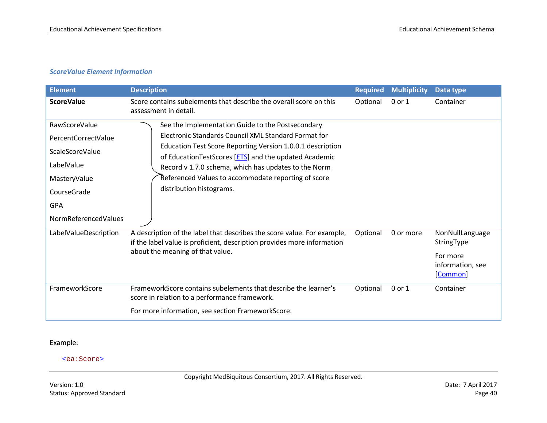# *ScoreValue Element Information*

| <b>Element</b>                                                                                                                                           | <b>Description</b>                                                                                                                                                                                                                                                                                                                                                          | <b>Required</b> | <b>Multiplicity</b> | Data type                                                                 |
|----------------------------------------------------------------------------------------------------------------------------------------------------------|-----------------------------------------------------------------------------------------------------------------------------------------------------------------------------------------------------------------------------------------------------------------------------------------------------------------------------------------------------------------------------|-----------------|---------------------|---------------------------------------------------------------------------|
| <b>ScoreValue</b>                                                                                                                                        | Score contains subelements that describe the overall score on this<br>assessment in detail.                                                                                                                                                                                                                                                                                 | Optional        | 0 or 1              | Container                                                                 |
| RawScoreValue<br>PercentCorrectValue<br><b>ScaleScoreValue</b><br>LabelValue<br>MasteryValue<br>CourseGrade<br><b>GPA</b><br><b>NormReferencedValues</b> | See the Implementation Guide to the Postsecondary<br>Electronic Standards Council XML Standard Format for<br>Education Test Score Reporting Version 1.0.0.1 description<br>of EducationTestScores [ETS] and the updated Academic<br>Record v 1.7.0 schema, which has updates to the Norm<br>Referenced Values to accommodate reporting of score<br>distribution histograms. |                 |                     |                                                                           |
| LabelValueDescription                                                                                                                                    | A description of the label that describes the score value. For example,<br>if the label value is proficient, description provides more information<br>about the meaning of that value.                                                                                                                                                                                      | Optional        | 0 or more           | NonNullLanguage<br>StringType<br>For more<br>information, see<br>[Common] |
| FrameworkScore                                                                                                                                           | FrameworkScore contains subelements that describe the learner's<br>score in relation to a performance framework.<br>For more information, see section FrameworkScore.                                                                                                                                                                                                       | Optional        | 0 or 1              | Container                                                                 |

# Example:

#### <ea:Score>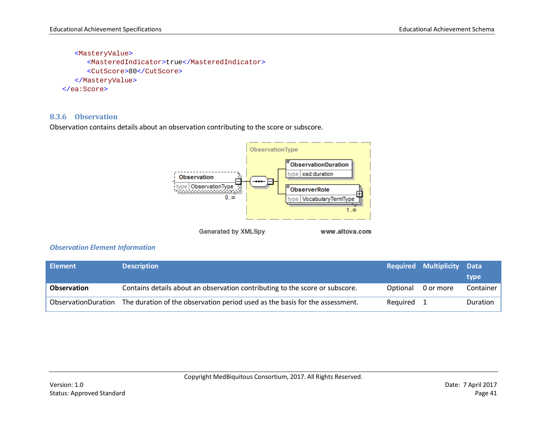<MasteryValue> <MasteredIndicator>true</MasteredIndicator> <CutScore>80</CutScore> </MasteryValue> </ea:Score>

### **8.3.6 Observation**

Observation contains details about an observation contributing to the score or subscore.



Generated by XMLSpy

www.altova.com

#### *Observation Element Information*

| <b>Element</b>      | <b>Description</b>                                                           |          | <b>Required Multiplicity Data</b> |           |
|---------------------|------------------------------------------------------------------------------|----------|-----------------------------------|-----------|
|                     |                                                                              |          |                                   | type      |
| <b>Observation</b>  | Contains details about an observation contributing to the score or subscore. | Optional | 0 or more                         | Container |
| ObservationDuration | The duration of the observation period used as the basis for the assessment. | Reauired |                                   | Duration  |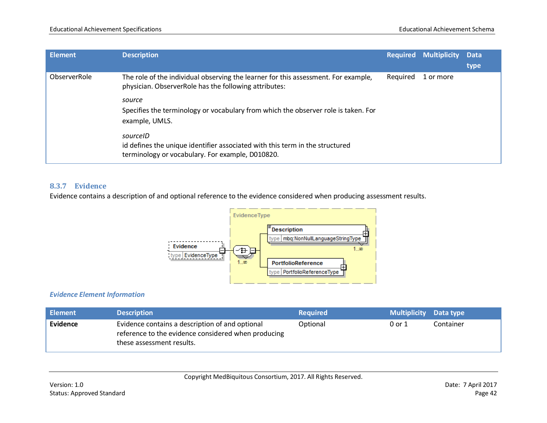| <b>Element</b> | <b>Description</b>                                                                                                                           | Required | <b>Multiplicity Data</b> | type |
|----------------|----------------------------------------------------------------------------------------------------------------------------------------------|----------|--------------------------|------|
| ObserverRole   | The role of the individual observing the learner for this assessment. For example,<br>physician. ObserverRole has the following attributes:  | Required | 1 or more                |      |
|                | source<br>Specifies the terminology or vocabulary from which the observer role is taken. For<br>example, UMLS.                               |          |                          |      |
|                | sourceID<br>id defines the unique identifier associated with this term in the structured<br>terminology or vocabulary. For example, D010820. |          |                          |      |

## **8.3.7 Evidence**

Evidence contains a description of and optional reference to the evidence considered when producing assessment results.



# *Evidence Element Information*

| <b>Element</b> | <b>Description</b>                                                                                                                  | <b>Required</b> | <b>Multiplicity</b> Data type |           |
|----------------|-------------------------------------------------------------------------------------------------------------------------------------|-----------------|-------------------------------|-----------|
| Evidence       | Evidence contains a description of and optional<br>reference to the evidence considered when producing<br>these assessment results. | Optional        | 0 or 1                        | Container |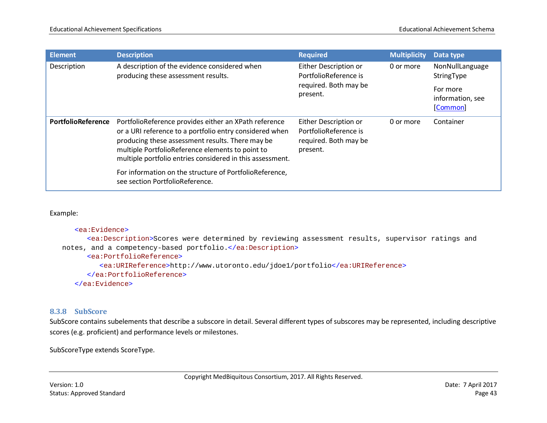| Element            | <b>Description</b>                                                                                                                                                                                                                                                                    | <b>Required</b>                                                                     | <b>Multiplicity</b> | Data type                                |
|--------------------|---------------------------------------------------------------------------------------------------------------------------------------------------------------------------------------------------------------------------------------------------------------------------------------|-------------------------------------------------------------------------------------|---------------------|------------------------------------------|
| Description        | A description of the evidence considered when<br>producing these assessment results.                                                                                                                                                                                                  | Either Description or<br>PortfolioReference is                                      | 0 or more           | NonNullLanguage<br>StringType            |
|                    |                                                                                                                                                                                                                                                                                       | required. Both may be<br>present.                                                   |                     | For more<br>information, see<br>[Common] |
| PortfolioReference | PortfolioReference provides either an XPath reference<br>or a URI reference to a portfolio entry considered when<br>producing these assessment results. There may be<br>multiple PortfolioReference elements to point to<br>multiple portfolio entries considered in this assessment. | Either Description or<br>PortfolioReference is<br>required. Both may be<br>present. | 0 or more           | Container                                |
|                    | For information on the structure of PortfolioReference,<br>see section PortfolioReference.                                                                                                                                                                                            |                                                                                     |                     |                                          |

```
<ea:Evidence>
      <ea:Description>Scores were determined by reviewing assessment results, supervisor ratings and 
notes, and a competency-based portfolio.</ea:Description>
      <ea:PortfolioReference>
         <ea:URIReference>http://www.utoronto.edu/jdoe1/portfolio</ea:URIReference>
      </ea:PortfolioReference>
   </ea:Evidence>
```
### **8.3.8 SubScore**

SubScore contains subelements that describe a subscore in detail. Several different types of subscores may be represented, including descriptive scores (e.g. proficient) and performance levels or milestones.

SubScoreType extends ScoreType.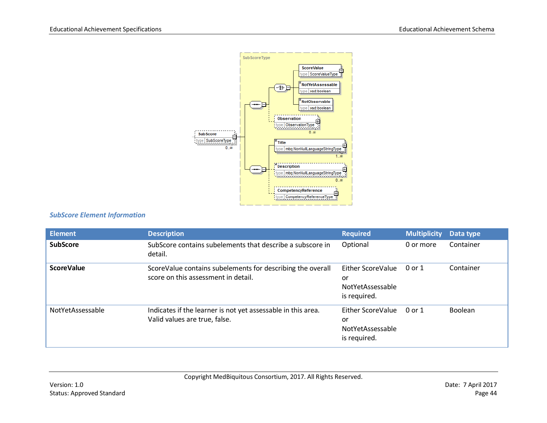

# *SubScore Element Information*

| <b>Element</b>    | <b>Description</b>                                                                                | <b>Required</b>                                             | <b>Multiplicity</b> | Data type |
|-------------------|---------------------------------------------------------------------------------------------------|-------------------------------------------------------------|---------------------|-----------|
| <b>SubScore</b>   | SubScore contains subelements that describe a subscore in<br>detail.                              | Optional                                                    | 0 or more           | Container |
| <b>ScoreValue</b> | ScoreValue contains subelements for describing the overall<br>score on this assessment in detail. | Either ScoreValue<br>or<br>NotYetAssessable<br>is required. | 0 or 1              | Container |
| NotYetAssessable  | Indicates if the learner is not yet assessable in this area.<br>Valid values are true, false.     | Either ScoreValue<br>or<br>NotYetAssessable<br>is required. | 0 or 1              | Boolean   |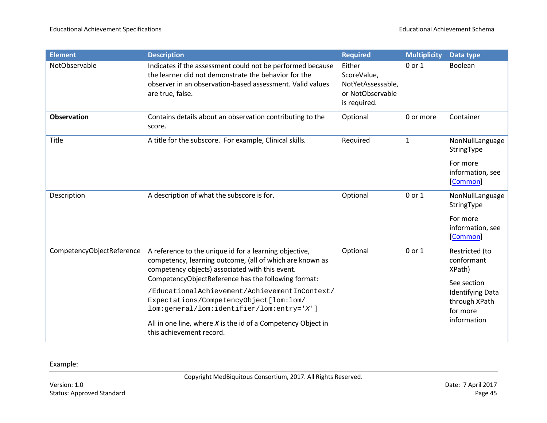| <b>Element</b>            | <b>Description</b>                                                                                                                                                                                                           | <b>Required</b>                                                                | <b>Multiplicity</b> | Data type                                                           |
|---------------------------|------------------------------------------------------------------------------------------------------------------------------------------------------------------------------------------------------------------------------|--------------------------------------------------------------------------------|---------------------|---------------------------------------------------------------------|
| NotObservable             | Indicates if the assessment could not be performed because<br>the learner did not demonstrate the behavior for the<br>observer in an observation-based assessment. Valid values<br>are true, false.                          | Either<br>ScoreValue,<br>NotYetAssessable,<br>or NotObservable<br>is required. | $0$ or $1$          | Boolean                                                             |
| <b>Observation</b>        | Contains details about an observation contributing to the<br>score.                                                                                                                                                          | Optional                                                                       | 0 or more           | Container                                                           |
| Title                     | A title for the subscore. For example, Clinical skills.                                                                                                                                                                      | Required                                                                       | $\mathbf 1$         | NonNullLanguage<br>StringType                                       |
|                           |                                                                                                                                                                                                                              |                                                                                |                     | For more<br>information, see<br>[Common]                            |
| Description               | A description of what the subscore is for.                                                                                                                                                                                   | Optional                                                                       | 0 or 1              | NonNullLanguage<br>StringType                                       |
|                           |                                                                                                                                                                                                                              |                                                                                |                     | For more<br>information, see<br>[Common]                            |
| CompetencyObjectReference | A reference to the unique id for a learning objective,<br>competency, learning outcome, (all of which are known as<br>competency objects) associated with this event.<br>CompetencyObjectReference has the following format: | Optional                                                                       | 0 or 1              | Restricted (to<br>conformant<br>XPath)                              |
|                           | /EducationalAchievement/AchievementInContext/<br>Expectations/CompetencyObject[lom:lom/<br>lom:general/lom:identifier/lom:entry='X']                                                                                         |                                                                                |                     | See section<br><b>Identifying Data</b><br>through XPath<br>for more |
|                           | All in one line, where $X$ is the id of a Competency Object in<br>this achievement record.                                                                                                                                   |                                                                                |                     | information                                                         |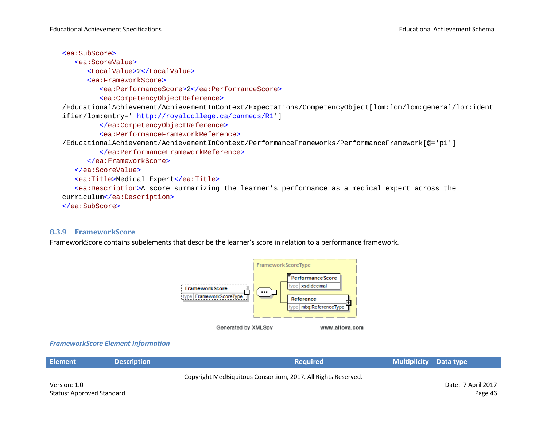<ea:SubScore>

<ea:ScoreValue>

<LocalValue>2</LocalValue>

<ea:FrameworkScore>

<ea:PerformanceScore>2</ea:PerformanceScore>

<ea:CompetencyObjectReference>

/EducationalAchievement/AchievementInContext/Expectations/CompetencyObject[lom:lom/lom:general/lom:ident ifier/lom:entry='<http://royalcollege.ca/canmeds/R1>']

</ea:CompetencyObjectReference>

<ea:PerformanceFrameworkReference>

/EducationalAchievement/AchievementInContext/PerformanceFrameworks/PerformanceFramework[@='p1']

</ea:PerformanceFrameworkReference>

</ea:FrameworkScore>

</ea:ScoreValue>

```
<ea:Title>Medical Expert</ea:Title>
```
<ea:Description>A score summarizing the learner's performance as a medical expert across the curriculum</ea:Description>

</ea:SubScore>

#### **8.3.9 FrameworkScore**

FrameworkScore contains subelements that describe the learner's score in relation to a performance framework.



#### *FrameworkScore Element Information*

| <b>Element</b>                                                | <b>Description</b> | Reauired' | <b>Multiplicity</b> Data type |  |
|---------------------------------------------------------------|--------------------|-----------|-------------------------------|--|
| Copyright MedBiquitous Consortium, 2017. All Rights Reserved. |                    |           |                               |  |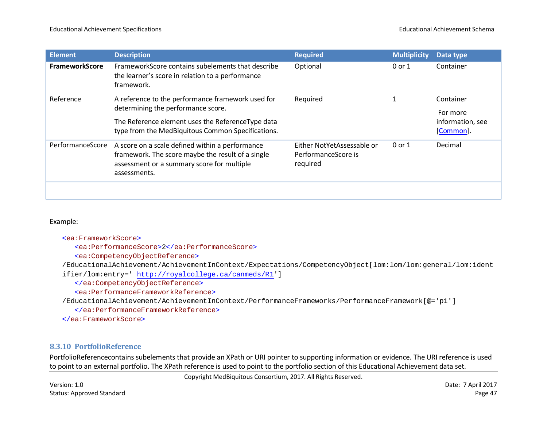| <b>Element</b>        | <b>Description</b>                                                                                                                                                                                | <b>Required</b>                                               | <b>Multiplicity</b> | Data type                                              |
|-----------------------|---------------------------------------------------------------------------------------------------------------------------------------------------------------------------------------------------|---------------------------------------------------------------|---------------------|--------------------------------------------------------|
| <b>FrameworkScore</b> | FrameworkScore contains subelements that describe<br>the learner's score in relation to a performance<br>framework.                                                                               | Optional                                                      | $0$ or $1$          | Container                                              |
| Reference             | A reference to the performance framework used for<br>determining the performance score.<br>The Reference element uses the ReferenceType data<br>type from the MedBiquitous Common Specifications. | Required                                                      |                     | Container<br>For more<br>information, see<br>[Common]. |
| PerformanceScore      | A score on a scale defined within a performance<br>framework. The score maybe the result of a single<br>assessment or a summary score for multiple<br>assessments.                                | Either NotYetAssessable or<br>PerformanceScore is<br>required | 0 or 1              | Decimal                                                |

#### <ea:FrameworkScore>

<ea:PerformanceScore>2</ea:PerformanceScore>

<ea:CompetencyObjectReference>

/EducationalAchievement/AchievementInContext/Expectations/CompetencyObject[lom:lom/lom:general/lom:ident

ifier/lom:entry='<http://royalcollege.ca/canmeds/R1>']

</ea:CompetencyObjectReference>

<ea:PerformanceFrameworkReference>

/EducationalAchievement/AchievementInContext/PerformanceFrameworks/PerformanceFramework[@='p1']

</ea:PerformanceFrameworkReference>

```
</ea:FrameworkScore>
```
# **8.3.10 PortfolioReference**

PortfolioReferencecontains subelements that provide an XPath or URI pointer to supporting information or evidence. The URI reference is used to point to an external portfolio. The XPath reference is used to point to the portfolio section of this Educational Achievement data set.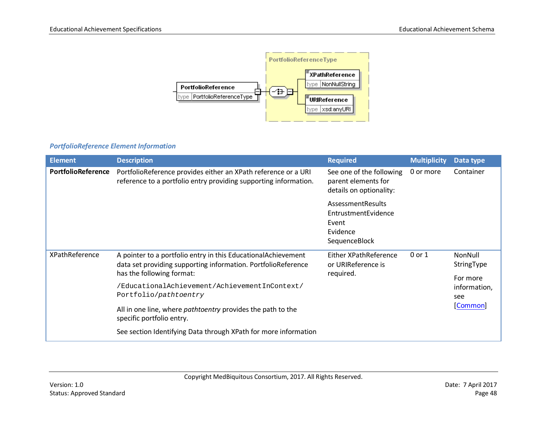

# *PortfolioReference Element Information*

| <b>Element</b>            | <b>Description</b>                                                                                                                                                                                                                                                                                                                                                                                          | <b>Required</b>                                                                | <b>Multiplicity</b> | Data type                                                            |
|---------------------------|-------------------------------------------------------------------------------------------------------------------------------------------------------------------------------------------------------------------------------------------------------------------------------------------------------------------------------------------------------------------------------------------------------------|--------------------------------------------------------------------------------|---------------------|----------------------------------------------------------------------|
| <b>PortfolioReference</b> | PortfolioReference provides either an XPath reference or a URI<br>reference to a portfolio entry providing supporting information.                                                                                                                                                                                                                                                                          | See one of the following<br>parent elements for<br>details on optionality:     | 0 or more           | Container                                                            |
|                           |                                                                                                                                                                                                                                                                                                                                                                                                             | AssessmentResults<br>EntrustmentEvidence<br>Event<br>Evidence<br>SequenceBlock |                     |                                                                      |
| XPathReference            | A pointer to a portfolio entry in this EducationalAchievement<br>data set providing supporting information. PortfolioReference<br>has the following format:<br>/EducationalAchievement/AchievementInContext/<br>Portfolio/pathtoentry<br>All in one line, where <i>pathtoentry</i> provides the path to the<br>specific portfolio entry.<br>See section Identifying Data through XPath for more information | Either XPathReference<br>or URIReference is<br>required.                       | $0$ or $1$          | NonNull<br>StringType<br>For more<br>information,<br>see<br>[Common] |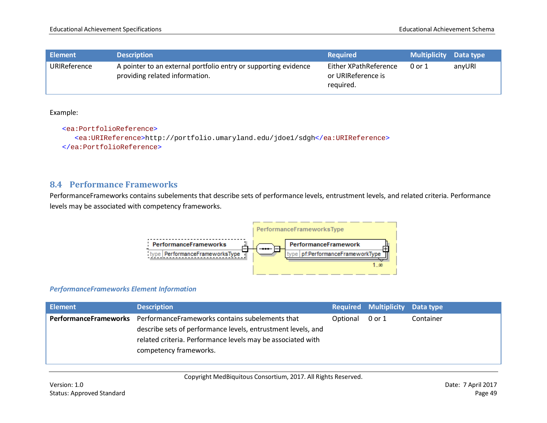| <b>Element</b> | <b>Description</b>                                                                                | <b>Required</b>                                          | <b>Multiplicity</b> Data type |        |
|----------------|---------------------------------------------------------------------------------------------------|----------------------------------------------------------|-------------------------------|--------|
| URIReference   | A pointer to an external portfolio entry or supporting evidence<br>providing related information. | Either XPathReference<br>or URIReference is<br>required. | 0 or 1                        | anyURI |

<ea:PortfolioReference> <ea:URIReference>http://portfolio.umaryland.edu/jdoe1/sdgh</ea:URIReference> </ea:PortfolioReference>

# **8.4 Performance Frameworks**

PerformanceFrameworks contains subelements that describe sets of performance levels, entrustment levels, and related criteria. Performance levels may be associated with competency frameworks.



#### *PerformanceFrameworks Element Information*

| <b>Element</b>        | <b>Description</b>                                           |          | <b>Required Multiplicity Data type</b> |           |
|-----------------------|--------------------------------------------------------------|----------|----------------------------------------|-----------|
| PerformanceFrameworks | PerformanceFrameworks contains subelements that              | Optional | 0 or 1                                 | Container |
|                       | describe sets of performance levels, entrustment levels, and |          |                                        |           |
|                       | related criteria. Performance levels may be associated with  |          |                                        |           |
|                       | competency frameworks.                                       |          |                                        |           |
|                       |                                                              |          |                                        |           |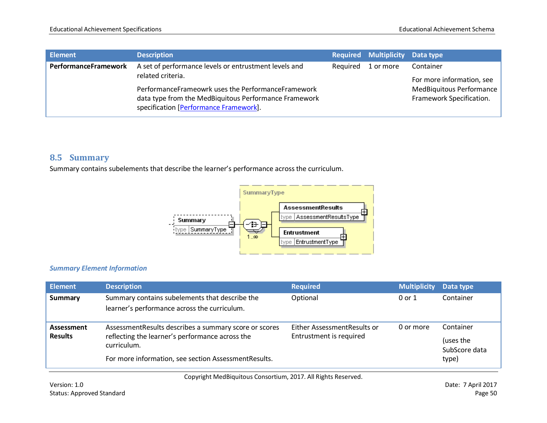| Element                     | <b>Description</b>                                                                                                                                    |          | Required Multiplicity Data type |                                                                                   |
|-----------------------------|-------------------------------------------------------------------------------------------------------------------------------------------------------|----------|---------------------------------|-----------------------------------------------------------------------------------|
| <b>PerformanceFramework</b> | A set of performance levels or entrustment levels and<br>related criteria.                                                                            | Reauired | 1 or more                       | Container                                                                         |
|                             | PerformanceFrameowrk uses the PerformanceFramework<br>data type from the MedBiquitous Performance Framework<br>specification [Performance Framework]. |          |                                 | For more information, see<br>MedBiquitous Performance<br>Framework Specification. |

# **8.5 Summary**

Summary contains subelements that describe the learner's performance across the curriculum.



## *Summary Element Information*

| Element                      | <b>Description</b>                                                                                                                                                               | <b>Required</b>                                        | <b>Multiplicity</b> | Data type                                        |
|------------------------------|----------------------------------------------------------------------------------------------------------------------------------------------------------------------------------|--------------------------------------------------------|---------------------|--------------------------------------------------|
| Summary                      | Summary contains subelements that describe the<br>learner's performance across the curriculum.                                                                                   | Optional                                               | 0 or 1              | Container                                        |
| Assessment<br><b>Results</b> | Assessment Results describes a summary score or scores<br>reflecting the learner's performance across the<br>curriculum.<br>For more information, see section AssessmentResults. | Either AssessmentResults or<br>Entrustment is required | 0 or more           | Container<br>(uses the<br>SubScore data<br>type) |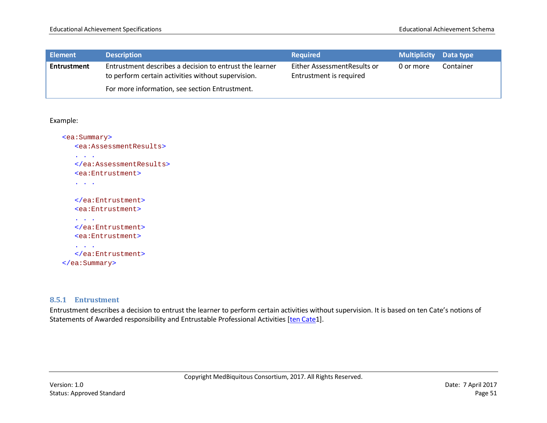| <b>Element</b> | <b>Description</b>                                                                                            | <b>Required</b>                                        | <b>Multiplicity</b> Data type |           |
|----------------|---------------------------------------------------------------------------------------------------------------|--------------------------------------------------------|-------------------------------|-----------|
| Entrustment    | Entrustment describes a decision to entrust the learner<br>to perform certain activities without supervision. | Either AssessmentResults or<br>Entrustment is required | 0 or more                     | Container |
|                | For more information, see section Entrustment.                                                                |                                                        |                               |           |

```
<ea:Summary>
   <ea:AssessmentResults>
   . . .
   </ea:AssessmentResults>
   <ea:Entrustment>
   . . .
   </ea:Entrustment>
   <ea:Entrustment>
   . . .
   </ea:Entrustment>
   <ea:Entrustment>
   . . .
   </ea:Entrustment>
</ea:Summary>
```
### **8.5.1 Entrustment**

Entrustment describes a decision to entrust the learner to perform certain activities without supervision. It is based on ten Cate's notions of Statements of Awarded responsibility and Entrustable Professional Activities [\[ten Cate1](#page-90-1)].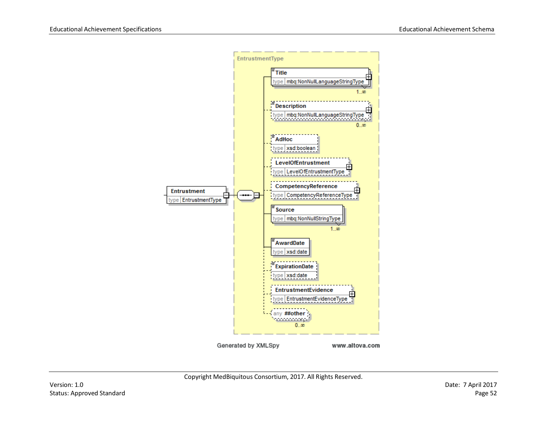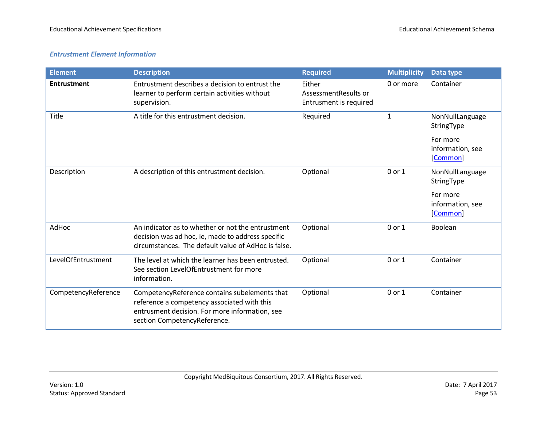# *Entrustment Element Information*

| <b>Element</b>      | <b>Description</b>                                                                                                                                                             | <b>Required</b>                                          | <b>Multiplicity</b> | Data type                                |
|---------------------|--------------------------------------------------------------------------------------------------------------------------------------------------------------------------------|----------------------------------------------------------|---------------------|------------------------------------------|
| <b>Entrustment</b>  | Entrustment describes a decision to entrust the<br>learner to perform certain activities without<br>supervision.                                                               | Either<br>AssessmentResults or<br>Entrusment is required | 0 or more           | Container                                |
| Title               | A title for this entrustment decision.                                                                                                                                         | Required                                                 | 1                   | NonNullLanguage<br>StringType            |
|                     |                                                                                                                                                                                |                                                          |                     | For more<br>information, see<br>[Common] |
| Description         | A description of this entrustment decision.                                                                                                                                    | Optional                                                 | 0 or 1              | NonNullLanguage<br>StringType            |
|                     |                                                                                                                                                                                |                                                          |                     | For more<br>information, see<br>[Common] |
| AdHoc               | An indicator as to whether or not the entrustment<br>decision was ad hoc, ie, made to address specific<br>circumstances. The default value of AdHoc is false.                  | Optional                                                 | 0 or 1              | Boolean                                  |
| LevelOfEntrustment  | The level at which the learner has been entrusted.<br>See section LevelOfEntrustment for more<br>information.                                                                  | Optional                                                 | 0 or 1              | Container                                |
| CompetencyReference | CompetencyReference contains subelements that<br>reference a competency associated with this<br>entrusment decision. For more information, see<br>section CompetencyReference. | Optional                                                 | 0 or 1              | Container                                |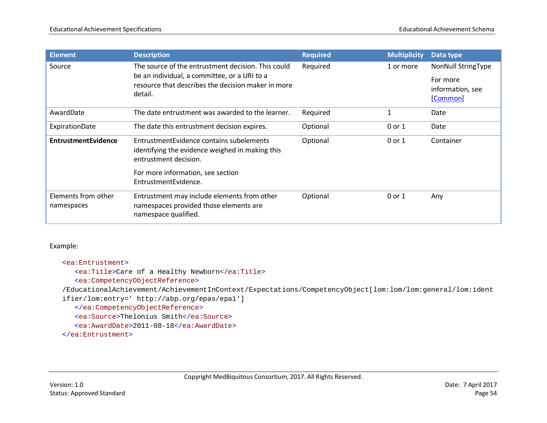| <b>Element</b>                    | <b>Description</b>                                                                                                   | <b>Required</b> | <b>Multiplicity</b> | Data type                    |
|-----------------------------------|----------------------------------------------------------------------------------------------------------------------|-----------------|---------------------|------------------------------|
| Source                            | The source of the entrustment decision. This could                                                                   | Required        | 1 or more           | <b>NonNull StringType</b>    |
|                                   | be an individual, a committee, or a URI to a<br>resource that describes the decision maker in more                   |                 |                     | For more                     |
|                                   | detail.                                                                                                              |                 |                     | information, see<br>[Common] |
|                                   |                                                                                                                      |                 |                     |                              |
| AwardDate                         | The date entrustment was awarded to the learner.                                                                     | Required        | 1                   | Date                         |
| ExpirationDate                    | The date this entrustment decision expires.                                                                          | Optional        | 0 or 1              | Date                         |
| <b>EntrustmentEvidence</b>        | EntrustmentEvidence contains subelements<br>identifying the evidence weighed in making this<br>entrustment decision. | Optional        | 0 or 1              | Container                    |
|                                   | For more information, see section<br>EntrustmentEvidence.                                                            |                 |                     |                              |
| Elements from other<br>namespaces | Entrustment may include elements from other<br>namespaces provided those elements are<br>namespace qualified.        | Optional        | 0 or 1              | Any                          |

<ea:Entrustment>

<ea:Title>Care of a Healthy Newborn</ea:Title>

<ea:CompetencyObjectReference>

/EducationalAchievement/AchievementInContext/Expectations/CompetencyObject[lom:lom/lom:general/lom:ident

ifier/lom:entry=' http://abp.org/epas/epa1']

</ea:CompetencyObjectReference>

<ea:Source>Thelonius Smith</ea:Source>

<ea:AwardDate>2011-08-18</ea:AwardDate>

</ea:Entrustment>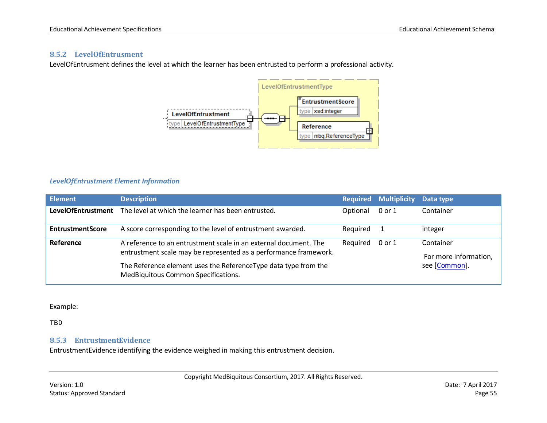## **8.5.2 LevelOfEntrusment**

LevelOfEntrusment defines the level at which the learner has been entrusted to perform a professional activity.



#### *LevelOfEntrustment Element Information*

| Element                   | <b>Description</b>                                                                                                                   | <b>Required</b> | <b>Multiplicity</b> | Data type                          |
|---------------------------|--------------------------------------------------------------------------------------------------------------------------------------|-----------------|---------------------|------------------------------------|
| <b>LevelOfEntrustment</b> | The level at which the learner has been entrusted.                                                                                   | Optional        | 0 or 1              | Container                          |
| <b>EntrustmentScore</b>   | A score corresponding to the level of entrustment awarded.                                                                           | Required        |                     | integer                            |
| Reference                 | A reference to an entrustment scale in an external document. The<br>entrustment scale may be represented as a performance framework. | Required        | 0 or 1              | Container<br>For more information, |
|                           | The Reference element uses the ReferenceType data type from the<br>MedBiquitous Common Specifications.                               |                 |                     | see [Common].                      |

Example:

TBD

### **8.5.3 EntrustmentEvidence**

EntrustmentEvidence identifying the evidence weighed in making this entrustment decision.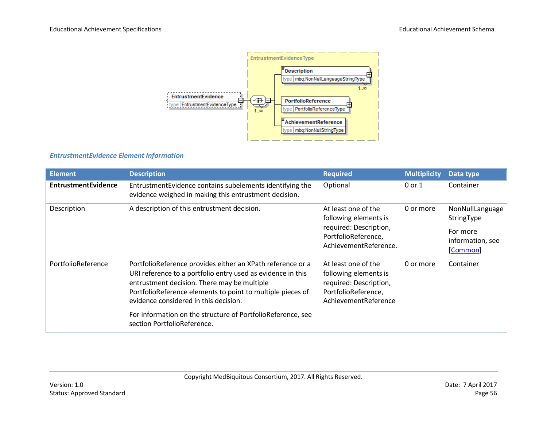

## *EntrustmentEvidence Element Information*

| <b>Element</b>             | <b>Description</b>                                                                                                                                                                                                                                                                                                                                                            | <b>Required</b>                                                                                                        | <b>Multiplicity</b> | Data type                                                                 |
|----------------------------|-------------------------------------------------------------------------------------------------------------------------------------------------------------------------------------------------------------------------------------------------------------------------------------------------------------------------------------------------------------------------------|------------------------------------------------------------------------------------------------------------------------|---------------------|---------------------------------------------------------------------------|
| <b>EntrustmentEvidence</b> | EntrustmentEvidence contains subelements identifying the<br>evidence weighed in making this entrustment decision.                                                                                                                                                                                                                                                             | Optional                                                                                                               | 0 or 1              | Container                                                                 |
| Description                | A description of this entrustment decision.                                                                                                                                                                                                                                                                                                                                   | At least one of the<br>following elements is<br>required: Description,<br>PortfolioReference,<br>AchievementReference. | 0 or more           | NonNullLanguage<br>StringType<br>For more<br>information, see<br>[Common] |
| PortfolioReference         | PortfolioReference provides either an XPath reference or a<br>URI reference to a portfolio entry used as evidence in this<br>entrustment decision. There may be multiple<br>PortfolioReference elements to point to multiple pieces of<br>evidence considered in this decision.<br>For information on the structure of PortfolioReference, see<br>section PortfolioReference. | At least one of the<br>following elements is<br>required: Description,<br>PortfolioReference,<br>AchievementReference  | 0 or more           | Container                                                                 |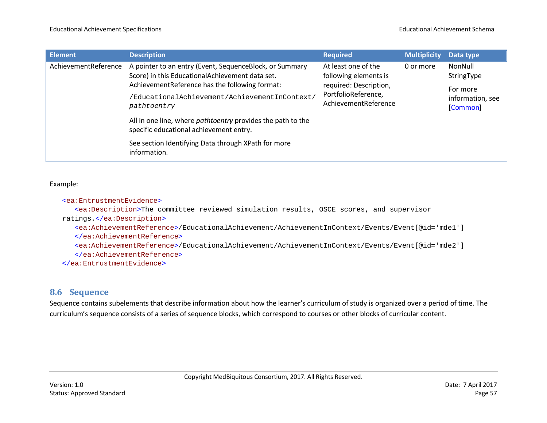| Element              | <b>Description</b>                                                                                                                                           | <b>Required</b>                                                                                                       | Multiplicity | Data type                    |  |  |  |  |  |  |                                   |
|----------------------|--------------------------------------------------------------------------------------------------------------------------------------------------------------|-----------------------------------------------------------------------------------------------------------------------|--------------|------------------------------|--|--|--|--|--|--|-----------------------------------|
| AchievementReference | A pointer to an entry (Event, SequenceBlock, or Summary<br>Score) in this EducationalAchievement data set.<br>AchievementReference has the following format: | At least one of the<br>following elements is<br>required: Description,<br>PortfolioReference,<br>AchievementReference | 0 or more    |                              |  |  |  |  |  |  | NonNull<br>StringType<br>For more |
|                      | /EducationalAchievement/AchievementInContext/<br>pathtoentry                                                                                                 |                                                                                                                       |              | information, see<br>[Common] |  |  |  |  |  |  |                                   |
|                      | All in one line, where <i>pathtoentry</i> provides the path to the<br>specific educational achievement entry.                                                |                                                                                                                       |              |                              |  |  |  |  |  |  |                                   |
|                      | See section Identifying Data through XPath for more<br>information.                                                                                          |                                                                                                                       |              |                              |  |  |  |  |  |  |                                   |

#### <ea:EntrustmentEvidence>

<ea:Description>The committee reviewed simulation results, OSCE scores, and supervisor ratings.</ea:Description>

<ea:AchievementReference>/EducationalAchievement/AchievementInContext/Events/Event[@id='mde1']

</ea:AchievementReference>

<ea:AchievementReference>/EducationalAchievement/AchievementInContext/Events/Event[@id='mde2']

</ea:AchievementReference>

</ea:EntrustmentEvidence>

# **8.6 Sequence**

Sequence contains subelements that describe information about how the learner's curriculum of study is organized over a period of time. The curriculum's sequence consists of a series of sequence blocks, which correspond to courses or other blocks of curricular content.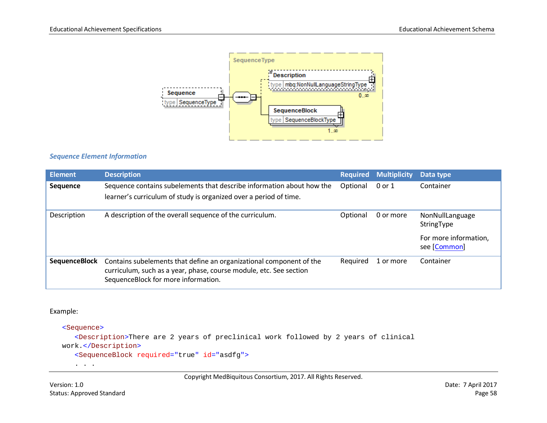

## *Sequence Element Information*

| <b>Element</b>       | <b>Description</b>                                                                                                                                                               | <b>Required</b> | <b>Multiplicity</b> | Data type                             |
|----------------------|----------------------------------------------------------------------------------------------------------------------------------------------------------------------------------|-----------------|---------------------|---------------------------------------|
| Sequence             | Sequence contains subelements that describe information about how the<br>learner's curriculum of study is organized over a period of time.                                       | Optional        | 0 or 1              | Container                             |
| Description          | A description of the overall sequence of the curriculum.                                                                                                                         | Optional        | 0 or more           | NonNullLanguage<br>StringType         |
|                      |                                                                                                                                                                                  |                 |                     | For more information,<br>see [Common] |
| <b>SequenceBlock</b> | Contains subelements that define an organizational component of the<br>curriculum, such as a year, phase, course module, etc. See section<br>SequenceBlock for more information. | Required        | 1 or more           | Container                             |

#### Example:

<Sequence> <Description>There are 2 years of preclinical work followed by 2 years of clinical work.</Description> <SequenceBlock required="true" id="asdfg"> . . .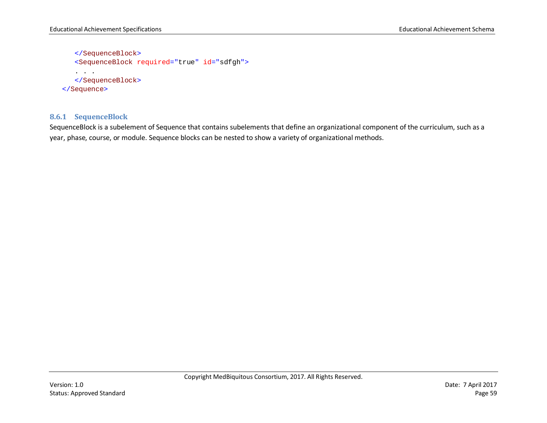```
</SequenceBlock>
   <SequenceBlock required="true" id="sdfgh">
   . . . 
   </SequenceBlock>
</Sequence>
```
# **8.6.1 SequenceBlock**

SequenceBlock is a subelement of Sequence that contains subelements that define an organizational component of the curriculum, such as a year, phase, course, or module. Sequence blocks can be nested to show a variety of organizational methods.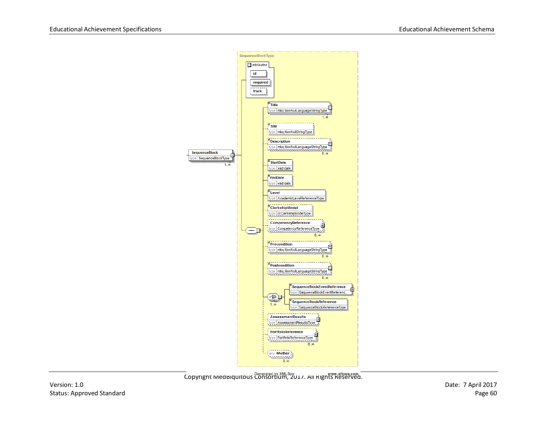

- www.altova.com<br>Copyright MedBiquitous Consortium, 2017. All Rights Reserved.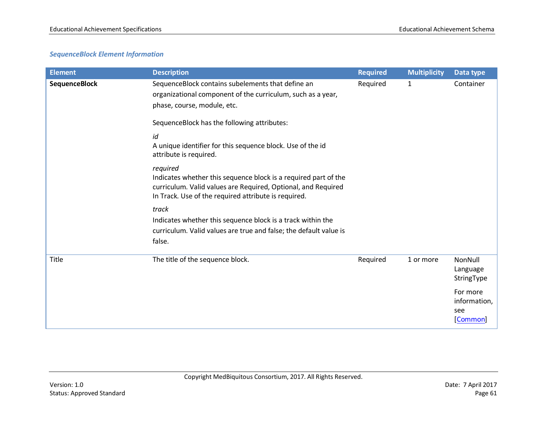# *SequenceBlock Element Information*

| <b>Element</b>       | <b>Description</b>                                                                                                                                                                                   | <b>Required</b> | <b>Multiplicity</b> | Data type                                   |
|----------------------|------------------------------------------------------------------------------------------------------------------------------------------------------------------------------------------------------|-----------------|---------------------|---------------------------------------------|
| <b>SequenceBlock</b> | SequenceBlock contains subelements that define an<br>organizational component of the curriculum, such as a year,<br>phase, course, module, etc.                                                      | Required        | 1                   | Container                                   |
|                      | SequenceBlock has the following attributes:                                                                                                                                                          |                 |                     |                                             |
|                      | id<br>A unique identifier for this sequence block. Use of the id<br>attribute is required.                                                                                                           |                 |                     |                                             |
|                      | required<br>Indicates whether this sequence block is a required part of the<br>curriculum. Valid values are Required, Optional, and Required<br>In Track. Use of the required attribute is required. |                 |                     |                                             |
|                      | track<br>Indicates whether this sequence block is a track within the<br>curriculum. Valid values are true and false; the default value is<br>false.                                                  |                 |                     |                                             |
| <b>Title</b>         | The title of the sequence block.                                                                                                                                                                     | Required        | 1 or more           | NonNull<br>Language<br>StringType           |
|                      |                                                                                                                                                                                                      |                 |                     | For more<br>information,<br>see<br>[Common] |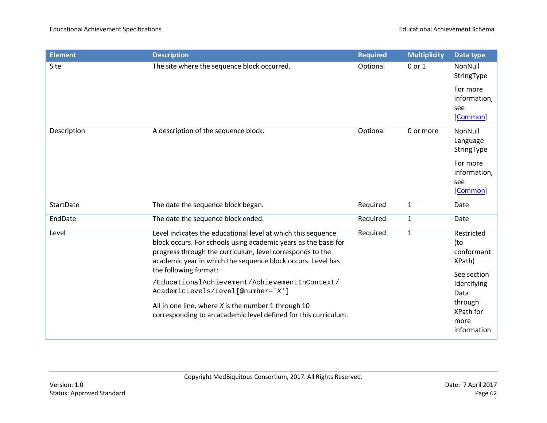| <b>Element</b>   | <b>Description</b>                                                                                                                                                                                                                                          | <b>Required</b> | <b>Multiplicity</b> | Data type                                   |
|------------------|-------------------------------------------------------------------------------------------------------------------------------------------------------------------------------------------------------------------------------------------------------------|-----------------|---------------------|---------------------------------------------|
| Site             | The site where the sequence block occurred.                                                                                                                                                                                                                 | Optional        | 0 or 1              | NonNull<br>StringType                       |
|                  |                                                                                                                                                                                                                                                             |                 |                     | For more<br>information,<br>see<br>[Common] |
| Description      | A description of the sequence block.                                                                                                                                                                                                                        | Optional        | 0 or more           | NonNull<br>Language<br>StringType           |
|                  |                                                                                                                                                                                                                                                             |                 |                     | For more<br>information,<br>see<br>[Common] |
| <b>StartDate</b> | The date the sequence block began.                                                                                                                                                                                                                          | Required        | $\mathbf{1}$        | Date                                        |
| EndDate          | The date the sequence block ended.                                                                                                                                                                                                                          | Required        | $\mathbf{1}$        | Date                                        |
| Level            | Level indicates the educational level at which this sequence<br>block occurs. For schools using academic years as the basis for<br>progress through the curriculum, level corresponds to the<br>academic year in which the sequence block occurs. Level has | Required        | $\mathbf{1}$        | Restricted<br>(to<br>conformant<br>XPath)   |
|                  | the following format:<br>/EducationalAchievement/AchievementInContext/<br>AcademicLevels/Level[@number='X']                                                                                                                                                 |                 |                     | See section<br>Identifying<br>Data          |
|                  | All in one line, where $X$ is the number 1 through 10<br>corresponding to an academic level defined for this curriculum.                                                                                                                                    |                 |                     | through<br>XPath for<br>more<br>information |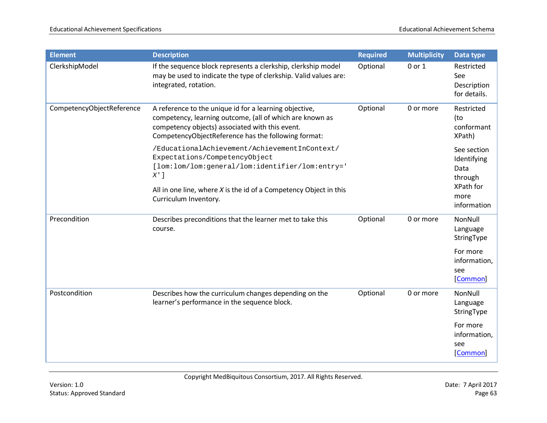| <b>Element</b>            | <b>Description</b>                                                                                                                                                                                                                          | <b>Required</b> | <b>Multiplicity</b> | Data type                                                                         |
|---------------------------|---------------------------------------------------------------------------------------------------------------------------------------------------------------------------------------------------------------------------------------------|-----------------|---------------------|-----------------------------------------------------------------------------------|
| ClerkshipModel            | If the sequence block represents a clerkship, clerkship model<br>may be used to indicate the type of clerkship. Valid values are:<br>integrated, rotation.                                                                                  | Optional        | 0 or 1              | Restricted<br>See<br>Description<br>for details.                                  |
| CompetencyObjectReference | A reference to the unique id for a learning objective,<br>competency, learning outcome, (all of which are known as<br>competency objects) associated with this event.<br>CompetencyObjectReference has the following format:                | Optional        | 0 or more           | Restricted<br>(to<br>conformant<br>XPath)                                         |
|                           | /EducationalAchievement/AchievementInContext/<br>Expectations/CompetencyObject<br>[lom:lom/lom:general/lom:identifier/lom:entry='<br>$X$ ']<br>All in one line, where $X$ is the id of a Competency Object in this<br>Curriculum Inventory. |                 |                     | See section<br>Identifying<br>Data<br>through<br>XPath for<br>more<br>information |
| Precondition              | Describes preconditions that the learner met to take this<br>course.                                                                                                                                                                        | Optional        | 0 or more           | NonNull<br>Language<br>StringType                                                 |
|                           |                                                                                                                                                                                                                                             |                 |                     | For more<br>information,<br>see<br>[Common]                                       |
| Postcondition             | Describes how the curriculum changes depending on the<br>learner's performance in the sequence block.                                                                                                                                       | Optional        | 0 or more           | NonNull<br>Language<br>StringType                                                 |
|                           |                                                                                                                                                                                                                                             |                 |                     | For more<br>information,<br>see<br>[Common]                                       |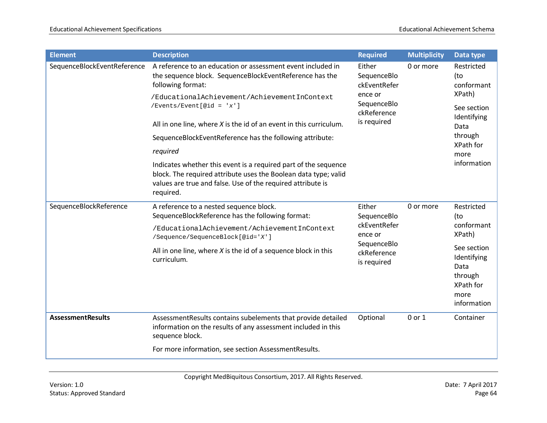| <b>Element</b>              | <b>Description</b>                                                                                                                                                                                             | <b>Required</b>                                                                               | <b>Multiplicity</b> | Data type                                                                                                                      |
|-----------------------------|----------------------------------------------------------------------------------------------------------------------------------------------------------------------------------------------------------------|-----------------------------------------------------------------------------------------------|---------------------|--------------------------------------------------------------------------------------------------------------------------------|
| SequenceBlockEventReference | A reference to an education or assessment event included in<br>the sequence block. SequenceBlockEventReference has the<br>following format:                                                                    | Either<br>SequenceBlo<br>ckEventRefer<br>ence or<br>SequenceBlo<br>ckReference<br>is required | 0 or more           | Restricted<br>(to<br>conformant<br>XPath)<br>See section<br>Identifying<br>Data<br>through<br>XPath for<br>more<br>information |
|                             | /EducationalAchievement/AchievementInContext<br>$/$ Events/Event[@id = 'x']                                                                                                                                    |                                                                                               |                     |                                                                                                                                |
|                             | All in one line, where $X$ is the id of an event in this curriculum.                                                                                                                                           |                                                                                               |                     |                                                                                                                                |
|                             | SequenceBlockEventReference has the following attribute:                                                                                                                                                       |                                                                                               |                     |                                                                                                                                |
|                             | required                                                                                                                                                                                                       |                                                                                               |                     |                                                                                                                                |
|                             | Indicates whether this event is a required part of the sequence<br>block. The required attribute uses the Boolean data type; valid<br>values are true and false. Use of the required attribute is<br>required. |                                                                                               |                     |                                                                                                                                |
| SequenceBlockReference      | A reference to a nested sequence block.<br>SequenceBlockReference has the following format:                                                                                                                    | Either<br>SequenceBlo<br>ckEventRefer<br>ence or<br>SequenceBlo<br>ckReference<br>is required | 0 or more           | Restricted<br>(to<br>conformant<br>XPath)                                                                                      |
|                             | /EducationalAchievement/AchievementInContext<br>/Sequence/SequenceBlock[@id='X']                                                                                                                               |                                                                                               |                     |                                                                                                                                |
|                             | All in one line, where $X$ is the id of a sequence block in this<br>curriculum.                                                                                                                                |                                                                                               |                     | See section<br>Identifying<br>Data<br>through<br>XPath for<br>more<br>information                                              |
| <b>AssessmentResults</b>    | AssessmentResults contains subelements that provide detailed<br>information on the results of any assessment included in this<br>sequence block.                                                               | Optional                                                                                      | 0 or 1              | Container                                                                                                                      |
|                             | For more information, see section AssessmentResults.                                                                                                                                                           |                                                                                               |                     |                                                                                                                                |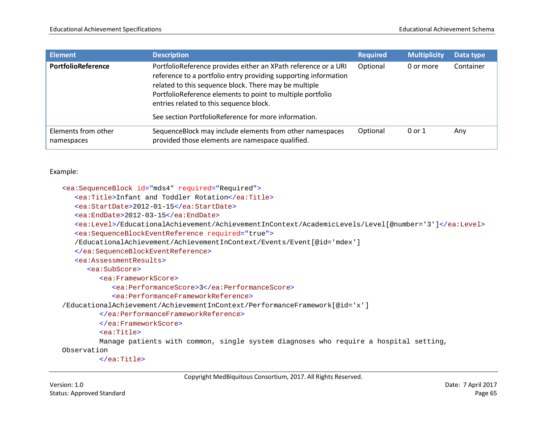| <b>Element</b>                    | <b>Description</b>                                                                                                                                                                                                                                                                                  | <b>Required</b> | <b>Multiplicity</b> | Data type |
|-----------------------------------|-----------------------------------------------------------------------------------------------------------------------------------------------------------------------------------------------------------------------------------------------------------------------------------------------------|-----------------|---------------------|-----------|
| PortfolioReference                | PortfolioReference provides either an XPath reference or a URI<br>reference to a portfolio entry providing supporting information<br>related to this sequence block. There may be multiple<br>PortfolioReference elements to point to multiple portfolio<br>entries related to this sequence block. | Optional        | 0 or more           | Container |
|                                   | See section PortfolioReference for more information.                                                                                                                                                                                                                                                |                 |                     |           |
| Elements from other<br>namespaces | Sequence Block may include elements from other namespaces<br>provided those elements are namespace qualified.                                                                                                                                                                                       | Optional        | 0 or 1              | Any       |

```
<ea:SequenceBlock id="mds4" required="Required">
```

```
<ea:Title>Infant and Toddler Rotation</ea:Title>
```

```
<ea:StartDate>2012-01-15</ea:StartDate>
```

```
<ea:EndDate>2012-03-15</ea:EndDate>
```

```
<ea:Level>/EducationalAchievement/AchievementInContext/AcademicLevels/Level[@number='3']</ea:Level>
```

```
<ea:SequenceBlockEventReference required="true">
```

```
/EducationalAchievement/AchievementInContext/Events/Event[@id='mdex']
```

```
</ea:SequenceBlockEventReference>
```

```
<ea:AssessmentResults>
```
<ea:SubScore>

```
<ea:FrameworkScore>
```
<ea:PerformanceScore>3</ea:PerformanceScore>

```
<ea:PerformanceFrameworkReference>
```
/EducationalAchievement/AchievementInContext/PerformanceFramework[@id='x']

```
</ea:PerformanceFrameworkReference>
```

```
</ea:FrameworkScore>
```
<ea:Title>

Manage patients with common, single system diagnoses who require a hospital setting,

Observation

</ea:Title>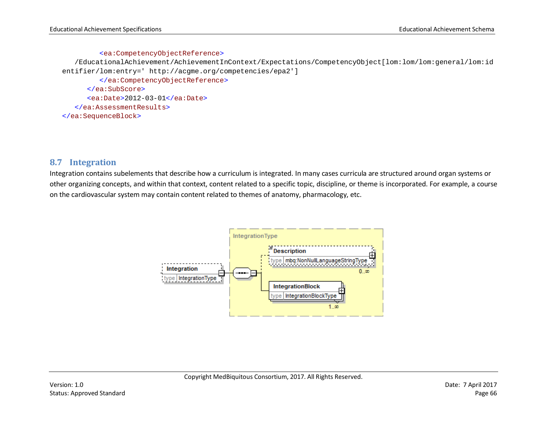#### <ea:CompetencyObjectReference>

/EducationalAchievement/AchievementInContext/Expectations/CompetencyObject[lom:lom/lom:general/lom:id entifier/lom:entry=' http://acgme.org/competencies/epa2']

</ea:CompetencyObjectReference> </ea:SubScore> <ea:Date>2012-03-01</ea:Date> </ea:AssessmentResults> </ea:SequenceBlock>

# **8.7 Integration**

Integration contains subelements that describe how a curriculum is integrated. In many cases curricula are structured around organ systems or other organizing concepts, and within that context, content related to a specific topic, discipline, or theme is incorporated. For example, a course on the cardiovascular system may contain content related to themes of anatomy, pharmacology, etc.

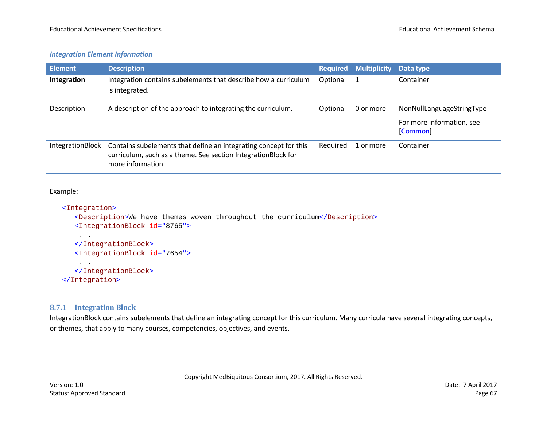# *Integration Element Information*

| <b>Element</b>          | <b>Description</b>                                                                                                                                     | <b>Required</b> | <b>Multiplicity</b> | Data type                                                          |
|-------------------------|--------------------------------------------------------------------------------------------------------------------------------------------------------|-----------------|---------------------|--------------------------------------------------------------------|
| Integration             | Integration contains subelements that describe how a curriculum<br>is integrated.                                                                      | Optional        |                     | Container                                                          |
| Description             | A description of the approach to integrating the curriculum.                                                                                           | Optional        | 0 or more           | NonNullLanguageStringType<br>For more information, see<br>[Common] |
| <b>IntegrationBlock</b> | Contains subelements that define an integrating concept for this<br>curriculum, such as a theme. See section IntegrationBlock for<br>more information. | Required        | 1 or more           | Container                                                          |

#### Example:

#### <Integration>

. .

<Description>We have themes woven throughout the curriculum</Description> <IntegrationBlock id="8765">

```
</IntegrationBlock>
   <IntegrationBlock id="7654">
    . . 
   </IntegrationBlock>
</Integration>
```
### **8.7.1 Integration Block**

IntegrationBlock contains subelements that define an integrating concept for this curriculum. Many curricula have several integrating concepts, or themes, that apply to many courses, competencies, objectives, and events.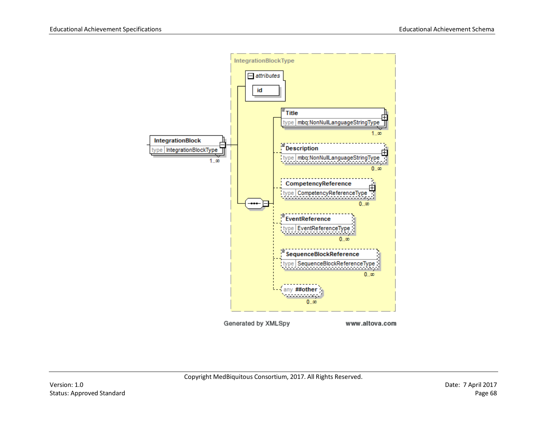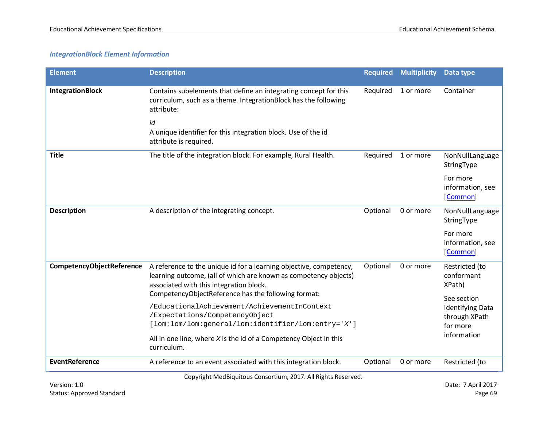# *IntegrationBlock Element Information*

| <b>Element</b>                   | <b>Description</b>                                                                                                                                                                                                                       | <b>Required</b> | <b>Multiplicity</b> | Data type                                                           |
|----------------------------------|------------------------------------------------------------------------------------------------------------------------------------------------------------------------------------------------------------------------------------------|-----------------|---------------------|---------------------------------------------------------------------|
| <b>IntegrationBlock</b>          | Contains subelements that define an integrating concept for this<br>curriculum, such as a theme. IntegrationBlock has the following<br>attribute:                                                                                        | Required        | 1 or more           | Container                                                           |
|                                  | id<br>A unique identifier for this integration block. Use of the id<br>attribute is required.                                                                                                                                            |                 |                     |                                                                     |
| <b>Title</b>                     | The title of the integration block. For example, Rural Health.                                                                                                                                                                           | Required        | 1 or more           | NonNullLanguage<br>StringType                                       |
|                                  |                                                                                                                                                                                                                                          |                 |                     | For more<br>information, see<br>[Common]                            |
| <b>Description</b>               | A description of the integrating concept.                                                                                                                                                                                                | Optional        | 0 or more           | NonNullLanguage<br>StringType                                       |
|                                  |                                                                                                                                                                                                                                          |                 |                     | For more<br>information, see<br>[Common]                            |
| <b>CompetencyObjectReference</b> | A reference to the unique id for a learning objective, competency,<br>learning outcome, (all of which are known as competency objects)<br>associated with this integration block.<br>CompetencyObjectReference has the following format: | Optional        | 0 or more           | Restricted (to<br>conformant<br>XPath)                              |
|                                  | /EducationalAchievement/AchievementInContext<br>/Expectations/CompetencyObject<br>[lom:lom/lom:general/lom:identifier/lom:entry='X']                                                                                                     |                 |                     | See section<br><b>Identifying Data</b><br>through XPath<br>for more |
|                                  | All in one line, where $X$ is the id of a Competency Object in this<br>curriculum.                                                                                                                                                       |                 |                     | information                                                         |
| <b>EventReference</b>            | A reference to an event associated with this integration block.                                                                                                                                                                          | Optional        | 0 or more           | Restricted (to                                                      |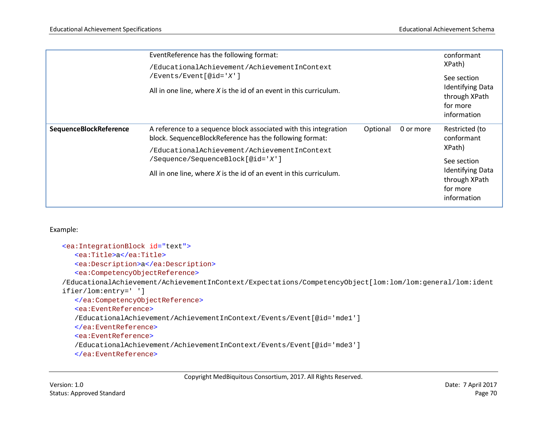|                        | EventReference has the following format:<br>/EducationalAchievement/AchievementInContext<br>$/$ Events/Event $[$ @id='X']<br>All in one line, where $X$ is the id of an event in this curriculum. | conformant<br>XPath)<br>See section<br><b>Identifying Data</b><br>through XPath<br>for more |           |                                                                                                                                             |
|------------------------|---------------------------------------------------------------------------------------------------------------------------------------------------------------------------------------------------|---------------------------------------------------------------------------------------------|-----------|---------------------------------------------------------------------------------------------------------------------------------------------|
| SequenceBlockReference | A reference to a sequence block associated with this integration<br>block. SequenceBlockReference has the following format:                                                                       | Optional                                                                                    | 0 or more | information<br>Restricted (to<br>conformant<br>XPath)<br>See section<br><b>Identifying Data</b><br>through XPath<br>for more<br>information |
|                        | /EducationalAchievement/AchievementInContext<br>/Sequence/SequenceBlock[@id='X']                                                                                                                  |                                                                                             |           |                                                                                                                                             |
|                        | All in one line, where $X$ is the id of an event in this curriculum.                                                                                                                              |                                                                                             |           |                                                                                                                                             |

```
<ea:IntegrationBlock id="text">
   <ea:Title>a</ea:Title>
   <ea:Description>a</ea:Description>
   <ea:CompetencyObjectReference> 
/EducationalAchievement/AchievementInContext/Expectations/CompetencyObject[lom:lom/lom:general/lom:ident
ifier/lom:entry=' ']
   </ea:CompetencyObjectReference>
   <ea:EventReference>
   /EducationalAchievement/AchievementInContext/Events/Event[@id='mde1']
   </ea:EventReference>
   <ea:EventReference>
   /EducationalAchievement/AchievementInContext/Events/Event[@id='mde3']
   </ea:EventReference>
```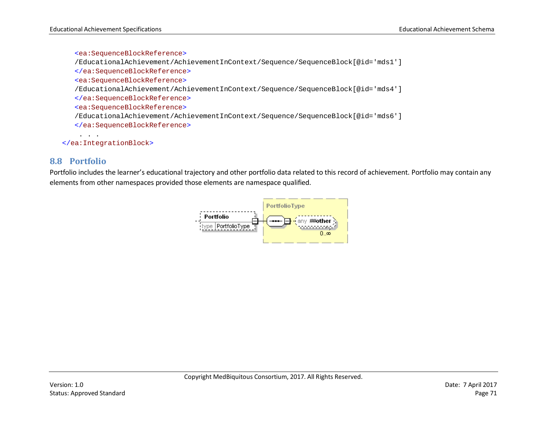```
<ea:SequenceBlockReference>
   /EducationalAchievement/AchievementInContext/Sequence/SequenceBlock[@id='mds1'] 
   </ea:SequenceBlockReference>
   <ea:SequenceBlockReference>
   /EducationalAchievement/AchievementInContext/Sequence/SequenceBlock[@id='mds4'] 
   </ea:SequenceBlockReference>
   <ea:SequenceBlockReference>
   /EducationalAchievement/AchievementInContext/Sequence/SequenceBlock[@id='mds6'] 
   </ea:SequenceBlockReference>
    . . .
</ea:IntegrationBlock>
```
# **8.8 Portfolio**

Portfolio includes the learner's educational trajectory and other portfolio data related to this record of achievement. Portfolio may contain any elements from other namespaces provided those elements are namespace qualified.

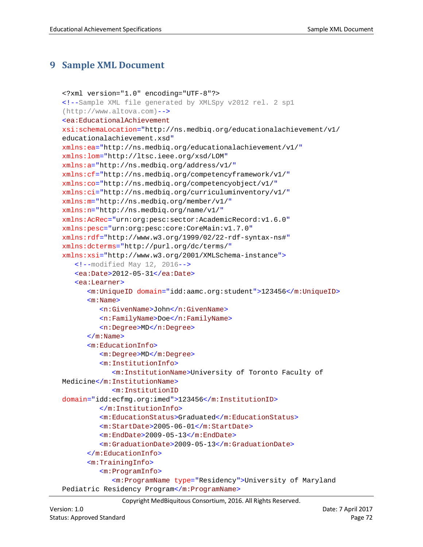# **9 Sample XML Document**

```
<?xml version="1.0" encoding="UTF-8"?>
<!--Sample XML file generated by XMLSpy v2012 rel. 2 sp1 
(http://www.altova.com)-->
<ea:EducationalAchievement
xsi:schemaLocation="http://ns.medbiq.org/educationalachievement/v1/ 
educationalachievement.xsd"
xmlns:ea="http://ns.medbiq.org/educationalachievement/v1/"
xmlns:lom="http://ltsc.ieee.org/xsd/LOM"
xmlns:a="http://ns.medbiq.org/address/v1/"
xmlns:cf="http://ns.medbiq.org/competencyframework/v1/"
xmlns:co="http://ns.medbiq.org/competencyobject/v1/"
xmlns:ci="http://ns.medbiq.org/curriculuminventory/v1/"
xmlns:m="http://ns.medbiq.org/member/v1/"
xmlns:n="http://ns.medbiq.org/name/v1/"
xmlns:AcRec="urn:org:pesc:sector:AcademicRecord:v1.6.0"
xmlns:pesc="urn:org:pesc:core:CoreMain:v1.7.0"
xmlns:rdf="http://www.w3.org/1999/02/22-rdf-syntax-ns#"
xmlns:dcterms="http://purl.org/dc/terms/"
xmlns:xsi="http://www.w3.org/2001/XMLSchema-instance">
   \langle --modified May 12, 2016-->
   <ea:Date>2012-05-31</ea:Date>
   <ea:Learner>
      <m:UniqueID domain="idd:aamc.org:student">123456</m:UniqueID>
      <m:Name>
         <n:GivenName>John</n:GivenName>
         <n:FamilyName>Doe</n:FamilyName>
         <n:Degree>MD</n:Degree>
      \langle m:Name \rangle<m:EducationInfo>
         <m:Degree>MD</m:Degree>
         <m:InstitutionInfo>
            <m:InstitutionName>University of Toronto Faculty of 
Medicine</m:InstitutionName>
            <m:InstitutionID
domain="idd:ecfmg.org:imed">123456</m:InstitutionID>
         </m:InstitutionInfo>
         <m:EducationStatus>Graduated</m:EducationStatus>
         <m:StartDate>2005-06-01</m:StartDate>
         <m:EndDate>2009-05-13</m:EndDate>
         <m:GraduationDate>2009-05-13</m:GraduationDate>
      </m:EducationInfo>
      <m:TrainingInfo>
         <m:ProgramInfo>
            <m:ProgramName type="Residency">University of Maryland 
Pediatric Residency Program</m:ProgramName>
```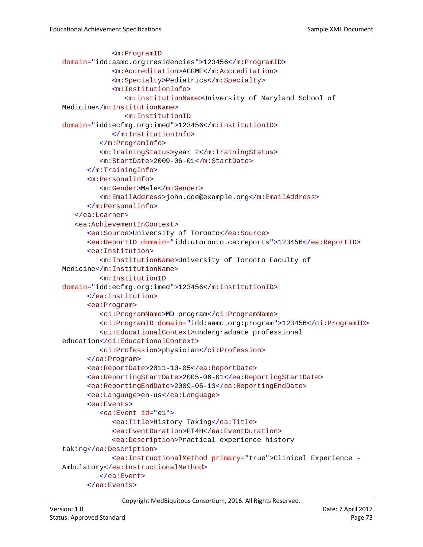```
<m:ProgramID
domain="idd:aamc.org:residencies">123456</m:ProgramID>
            <m:Accreditation>ACGME</m:Accreditation>
            <m:Specialty>Pediatrics</m:Specialty>
            <m:InstitutionInfo>
               <m:InstitutionName>University of Maryland School of 
Medicine</m:InstitutionName>
               <m:InstitutionID
domain="idd:ecfmg.org:imed">123456</m:InstitutionID>
            </m:InstitutionInfo>
         </m:ProgramInfo>
         <m:TrainingStatus>year 2</m:TrainingStatus>
         <m:StartDate>2009-06-01</m:StartDate>
      </m:TrainingInfo>
      <m:PersonalInfo>
         <m:Gender>Male</m:Gender>
         <m:EmailAddress>john.doe@example.org</m:EmailAddress>
      </m:PersonalInfo>
   </ea:Learner>
   <ea:AchievementInContext>
      <ea:Source>University of Toronto</ea:Source>
      <ea:ReportID domain="idd:utoronto.ca:reports">123456</ea:ReportID>
      <ea:Institution>
         <m:InstitutionName>University of Toronto Faculty of 
Medicine</m:InstitutionName>
         <m:InstitutionID
domain="idd:ecfmg.org:imed">123456</m:InstitutionID>
      </ea:Institution>
      <ea:Program>
         <ci:ProgramName>MD program</ci:ProgramName>
         <ci:ProgramID domain="idd:aamc.org:program">123456</ci:ProgramID>
         <ci:EducationalContext>undergraduate professional 
education</ci:EducationalContext>
         <ci:Profession>physician</ci:Profession>
      </ea:Program>
      <ea:ReportDate>2011-10-05</ea:ReportDate>
      <ea:ReportingStartDate>2005-06-01</ea:ReportingStartDate>
      <ea:ReportingEndDate>2009-05-13</ea:ReportingEndDate>
      <ea:Language>en-us</ea:Language>
      <ea:Events>
         <ea:Event id="e1">
            <ea:Title>History Taking</ea:Title>
            <ea:EventDuration>PT4H</ea:EventDuration>
            <ea:Description>Practical experience history 
taking</ea:Description>
            <ea:InstructionalMethod primary="true">Clinical Experience -
Ambulatory</ea:InstructionalMethod>
         </ea:Event>
      </ea:Events>
```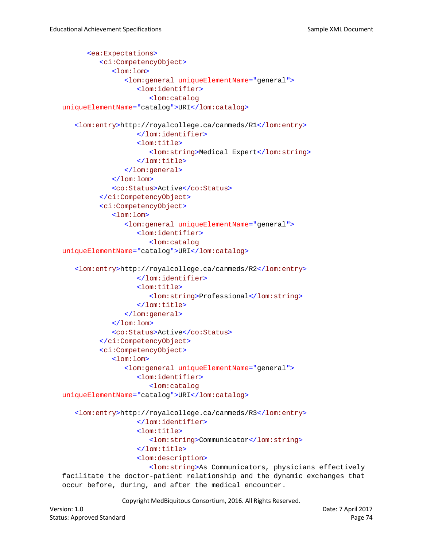```
<ea:Expectations>
         <ci:CompetencyObject>
            <lom:lom>
               <lom:general uniqueElementName="general">
                  <lom:identifier>
                     <lom:catalog
uniqueElementName="catalog">URI</lom:catalog>
   <lom:entry>http://royalcollege.ca/canmeds/R1</lom:entry>
                  </lom:identifier>
                  <lom:title>
                     <lom:string>Medical Expert</lom:string>
                  </lom:title>
               </lom:general>
            </lom:lom>
            <co:Status>Active</co:Status>
         </ci:CompetencyObject>
         <ci:CompetencyObject>
            <lom:lom>
               <lom:general uniqueElementName="general">
                  <lom:identifier>
                     <lom:catalog
uniqueElementName="catalog">URI</lom:catalog>
   <lom:entry>http://royalcollege.ca/canmeds/R2</lom:entry>
                  </lom:identifier>
                  <lom:title>
                     <lom:string>Professional</lom:string>
                  </lom:title>
               </lom:general>
            </lom:lom>
            <co:Status>Active</co:Status>
         </ci:CompetencyObject>
         <ci:CompetencyObject>
            <lom:lom>
               <lom:general uniqueElementName="general">
                  <lom:identifier>
                     <lom:catalog
uniqueElementName="catalog">URI</lom:catalog>
   <lom:entry>http://royalcollege.ca/canmeds/R3</lom:entry>
                  </lom:identifier>
                  <lom:title>
                     <lom:string>Communicator</lom:string>
                  </lom:title>
                  <lom:description>
                     <lom:string>As Communicators, physicians effectively 
facilitate the doctor-patient relationship and the dynamic exchanges that 
occur before, during, and after the medical encounter.
```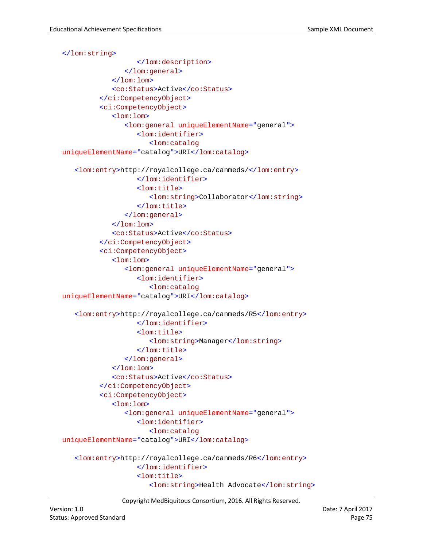```
</lom:string>
                  </lom:description>
               </lom:general>
            </lom:lom>
            <co:Status>Active</co:Status>
         </ci:CompetencyObject>
         <ci:CompetencyObject>
            <lom:lom>
               <lom:general uniqueElementName="general">
                  <lom:identifier>
                     <lom:catalog
uniqueElementName="catalog">URI</lom:catalog>
   <lom:entry>http://royalcollege.ca/canmeds/</lom:entry>
                  </lom:identifier>
                  <lom:title>
                     <lom:string>Collaborator</lom:string>
                  </lom:title>
               </lom:general>
            </lom:lom>
            <co:Status>Active</co:Status>
         </ci:CompetencyObject>
         <ci:CompetencyObject>
            <lom:lom>
               <lom:general uniqueElementName="general">
                  <lom:identifier>
                     <lom:catalog
uniqueElementName="catalog">URI</lom:catalog>
   <lom:entry>http://royalcollege.ca/canmeds/R5</lom:entry>
                  </lom:identifier>
                  <lom:title>
                     <lom:string>Manager</lom:string>
                  </lom:title>
               </lom:general>
            \langlelom:lom>
            <co:Status>Active</co:Status>
         </ci:CompetencyObject>
         <ci:CompetencyObject>
            <lom:lom>
               <lom:general uniqueElementName="general">
                  <lom:identifier>
                     <lom:catalog
uniqueElementName="catalog">URI</lom:catalog>
   <lom:entry>http://royalcollege.ca/canmeds/R6</lom:entry>
                  </lom:identifier>
                  <lom:title>
                     <lom:string>Health Advocate</lom:string>
```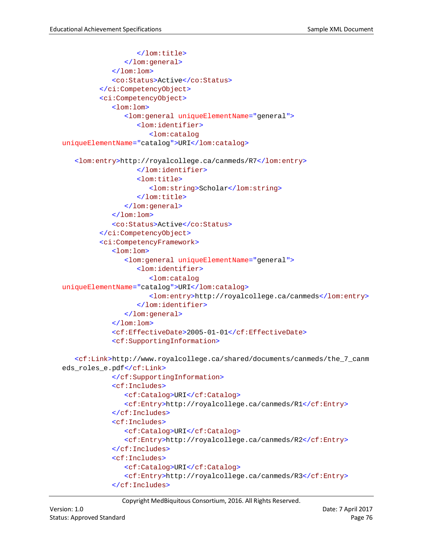```
</lom:title>
               </lom:general>
            </lom:lom>
            <co:Status>Active</co:Status>
         </ci:CompetencyObject>
         <ci:CompetencyObject>
            <lom:lom>
               <lom:general uniqueElementName="general">
                  <lom:identifier>
                     <lom:catalog
uniqueElementName="catalog">URI</lom:catalog>
   <lom:entry>http://royalcollege.ca/canmeds/R7</lom:entry>
                  </lom:identifier>
                  <lom:title>
                     <lom:string>Scholar</lom:string>
                  </lom:title>
               </lom:general>
            </lom:lom>
            <co:Status>Active</co:Status>
         </ci:CompetencyObject>
         <ci:CompetencyFramework>
            <lom:lom>
               <lom:general uniqueElementName="general">
                  <lom:identifier>
                     <lom:catalog
uniqueElementName="catalog">URI</lom:catalog>
                     <lom:entry>http://royalcollege.ca/canmeds</lom:entry>
                  </lom:identifier>
               </lom:general>
            \langlelom:lom>
            <cf:EffectiveDate>2005-01-01</cf:EffectiveDate>
            <cf:SupportingInformation>
   <cf:Link>http://www.royalcollege.ca/shared/documents/canmeds/the_7_canm
eds_roles_e.pdf</cf:Link>
            </cf:SupportingInformation>
            <cf:Includes>
               <cf:Catalog>URI</cf:Catalog>
               <cf:Entry>http://royalcollege.ca/canmeds/R1</cf:Entry>
            </cf:Includes>
            <cf:Includes>
               <cf:Catalog>URI</cf:Catalog>
               <cf:Entry>http://royalcollege.ca/canmeds/R2</cf:Entry>
            </cf:Includes>
            <cf:Includes>
               <cf:Catalog>URI</cf:Catalog>
               <cf:Entry>http://royalcollege.ca/canmeds/R3</cf:Entry>
            </cf:Includes>
```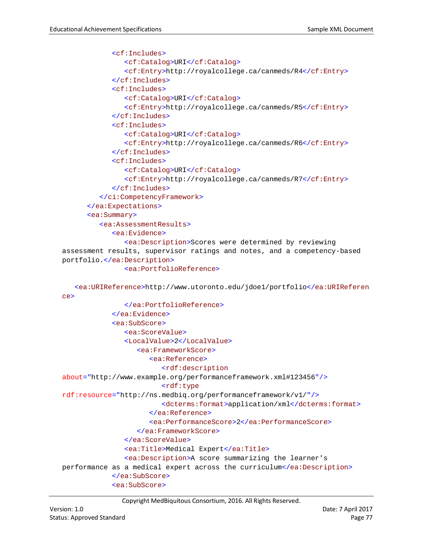```
<cf:Includes>
               <cf:Catalog>URI</cf:Catalog>
               <cf:Entry>http://royalcollege.ca/canmeds/R4</cf:Entry>
            </cf:Includes>
            <cf:Includes>
               <cf:Catalog>URI</cf:Catalog>
               <cf:Entry>http://royalcollege.ca/canmeds/R5</cf:Entry>
            </cf:Includes>
            <cf:Includes>
               <cf:Catalog>URI</cf:Catalog>
               <cf:Entry>http://royalcollege.ca/canmeds/R6</cf:Entry>
            </cf:Includes>
            <cf:Includes>
               <cf:Catalog>URI</cf:Catalog>
               <cf:Entry>http://royalcollege.ca/canmeds/R7</cf:Entry>
            </cf:Includes>
         </ci:CompetencyFramework>
      </ea:Expectations>
      <ea:Summary>
         <ea:AssessmentResults>
            <ea:Evidence>
               <ea:Description>Scores were determined by reviewing 
assessment results, supervisor ratings and notes, and a competency-based 
portfolio.</ea:Description>
               <ea:PortfolioReference>
   <ea:URIReference>http://www.utoronto.edu/jdoe1/portfolio</ea:URIReferen
ce>
               </ea:PortfolioReference>
            </ea:Evidence>
            <ea:SubScore>
               <ea:ScoreValue>
               <LocalValue>2</LocalValue>
                  <ea:FrameworkScore>
                     <ea:Reference>
                        <rdf:description
about="http://www.example.org/performanceframework.xml#123456"/>
                        <rdf:type
rdf:resource="http://ns.medbiq.org/performanceframework/v1/"/>
                        <dcterms:format>application/xml</dcterms:format>
                     </ea:Reference>
                     <ea:PerformanceScore>2</ea:PerformanceScore>
                  </ea:FrameworkScore>
               </ea:ScoreValue>
               <ea:Title>Medical Expert</ea:Title>
               <ea:Description>A score summarizing the learner's 
performance as a medical expert across the curriculum</ea:Description>
            </ea:SubScore>
            <ea:SubScore>
```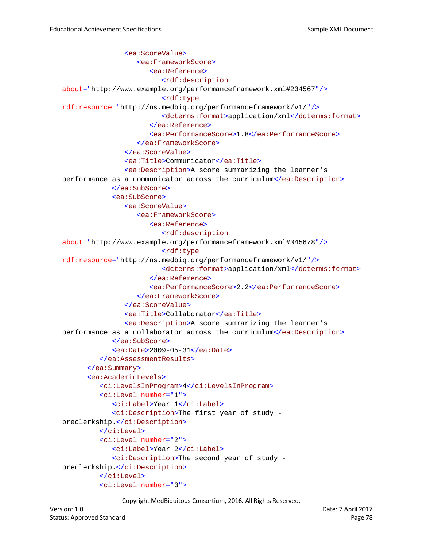```
<ea:ScoreValue>
                  <ea:FrameworkScore>
                     <ea:Reference>
                        <rdf:description
about="http://www.example.org/performanceframework.xml#234567"/>
                        <rdf:type
rdf:resource="http://ns.medbiq.org/performanceframework/v1/"/>
                        <dcterms:format>application/xml</dcterms:format>
                     </ea:Reference>
                     <ea:PerformanceScore>1.8</ea:PerformanceScore>
                  </ea:FrameworkScore>
               </ea:ScoreValue>
               <ea:Title>Communicator</ea:Title>
               <ea:Description>A score summarizing the learner's 
performance as a communicator across the curriculum</ea:Description>
            </ea:SubScore>
            <ea:SubScore>
               <ea:ScoreValue>
                  <ea:FrameworkScore>
                     <ea:Reference>
                        <rdf:description
about="http://www.example.org/performanceframework.xml#345678"/>
                        <rdf:type
rdf:resource="http://ns.medbiq.org/performanceframework/v1/"/>
                        <dcterms:format>application/xml</dcterms:format>
                     </ea:Reference>
                     <ea:PerformanceScore>2.2</ea:PerformanceScore>
                  </ea:FrameworkScore>
               </ea:ScoreValue>
               <ea:Title>Collaborator</ea:Title>
               <ea:Description>A score summarizing the learner's 
performance as a collaborator across the curriculum</ea:Description>
            </ea:SubScore>
            <ea:Date>2009-05-31</ea:Date>
         </ea:AssessmentResults>
      </ea:Summary>
      <ea:AcademicLevels>
         <ci:LevelsInProgram>4</ci:LevelsInProgram>
         <ci:Level number="1">
            <ci:Label>Year 1</ci:Label>
            <ci:Description>The first year of study -
preclerkship.</ci:Description>
         </ci:Level>
         <ci:Level number="2">
            <ci:Label>Year 2</ci:Label>
            <ci:Description>The second year of study -
preclerkship.</ci:Description>
         </ci:Level>
         <ci:Level number="3">
```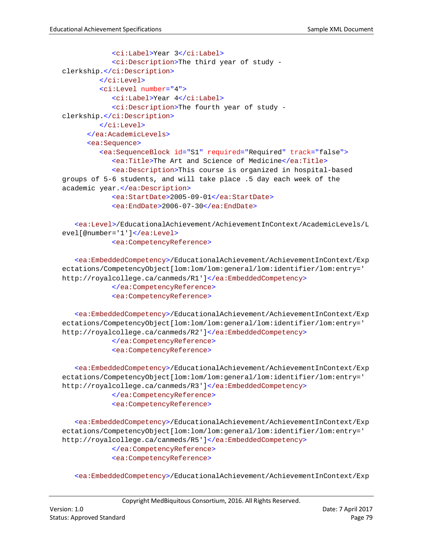```
<ci:Label>Year 3</ci:Label>
            <ci:Description>The third year of study -
clerkship.</ci:Description>
         </ci:Level>
         <ci:Level number="4">
            <ci:Label>Year 4</ci:Label>
            <ci:Description>The fourth year of study -
clerkship.</ci:Description>
         </ci:Level>
      </ea:AcademicLevels>
      <ea:Sequence>
         <ea:SequenceBlock id="S1" required="Required" track="false">
            <ea:Title>The Art and Science of Medicine</ea:Title>
            <ea:Description>This course is organized in hospital-based 
groups of 5-6 students, and will take place .5 day each week of the 
academic year.</ea:Description>
            <ea:StartDate>2005-09-01</ea:StartDate>
            <ea:EndDate>2006-07-30</ea:EndDate>
```

```
<ea:Level>/EducationalAchievement/AchievementInContext/AcademicLevels/L
evel[@number='1']</ea:Level>
            <ea:CompetencyReference>
```

```
<ea:EmbeddedCompetency>/EducationalAchievement/AchievementInContext/Exp
ectations/CompetencyObject[lom:lom/lom:general/lom:identifier/lom:entry=' 
http://royalcollege.ca/canmeds/R1']</ea:EmbeddedCompetency>
```
</ea:CompetencyReference> <ea:CompetencyReference>

<ea:EmbeddedCompetency>/EducationalAchievement/AchievementInContext/Exp ectations/CompetencyObject[lom:lom/lom:general/lom:identifier/lom:entry=' http://royalcollege.ca/canmeds/R2']</ea:EmbeddedCompetency>

> </ea:CompetencyReference> <ea:CompetencyReference>

<ea:EmbeddedCompetency>/EducationalAchievement/AchievementInContext/Exp ectations/CompetencyObject[lom:lom/lom:general/lom:identifier/lom:entry=' http://royalcollege.ca/canmeds/R3']</ea:EmbeddedCompetency> </ea:CompetencyReference> <ea:CompetencyReference>

<ea:EmbeddedCompetency>/EducationalAchievement/AchievementInContext/Exp ectations/CompetencyObject[lom:lom/lom:general/lom:identifier/lom:entry=' http://royalcollege.ca/canmeds/R5']</ea:EmbeddedCompetency> </ea:CompetencyReference> <ea:CompetencyReference>

<ea:EmbeddedCompetency>/EducationalAchievement/AchievementInContext/Exp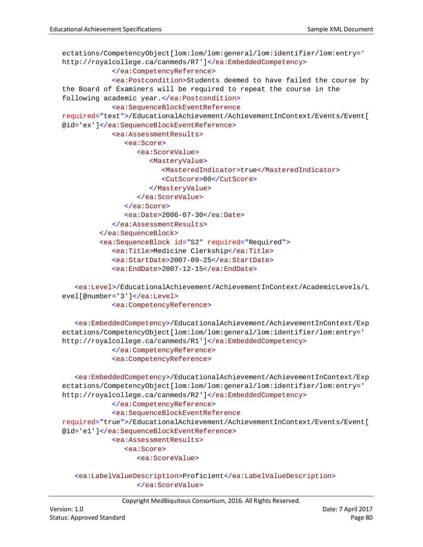```
ectations/CompetencyObject[lom:lom/lom:general/lom:identifier/lom:entry=' 
http://royalcollege.ca/canmeds/R7']</ea:EmbeddedCompetency>
            </ea:CompetencyReference>
            <ea:Postcondition>Students deemed to have failed the course by 
the Board of Examiners will be required to repeat the course in the 
following academic year.</ea:Postcondition>
            <ea:SequenceBlockEventReference
required="text">/EducationalAchievement/AchievementInContext/Events/Event[
@id='ex']</ea:SequenceBlockEventReference>
            <ea:AssessmentResults>
               <ea:Score>
                  <ea:ScoreValue>
                     <MasteryValue>
                        <MasteredIndicator>true</MasteredIndicator>
                        <CutScore>80</CutScore>
                     </MasteryValue>
                  </ea:ScoreValue>
               </ea:Score>
               <ea:Date>2006-07-30</ea:Date>
            </ea:AssessmentResults>
         </ea:SequenceBlock>
         <ea:SequenceBlock id="S2" required="Required">
            <ea:Title>Medicine Clerkship</ea:Title>
            <ea:StartDate>2007-09-25</ea:StartDate>
            <ea:EndDate>2007-12-15</ea:EndDate>
```

```
<ea:Level>/EducationalAchievement/AchievementInContext/AcademicLevels/L
evel[@number='3']</ea:Level>
            <ea:CompetencyReference>
```
<ea:EmbeddedCompetency>/EducationalAchievement/AchievementInContext/Exp ectations/CompetencyObject[lom:lom/lom:general/lom:identifier/lom:entry=' http://royalcollege.ca/canmeds/R1']</ea:EmbeddedCompetency> </ea:CompetencyReference> <ea:CompetencyReference>

```
<ea:EmbeddedCompetency>/EducationalAchievement/AchievementInContext/Exp
ectations/CompetencyObject[lom:lom/lom:general/lom:identifier/lom:entry=' 
http://royalcollege.ca/canmeds/R2']</ea:EmbeddedCompetency>
            </ea:CompetencyReference>
            <ea:SequenceBlockEventReference
required="true">/EducationalAchievement/AchievementInContext/Events/Event[
@id='e1']</ea:SequenceBlockEventReference>
            <ea:AssessmentResults>
               <ea:Score>
                  <ea:ScoreValue>
```

```
<ea:LabelValueDescription>Proficient</ea:LabelValueDescription>
               </ea:ScoreValue>
```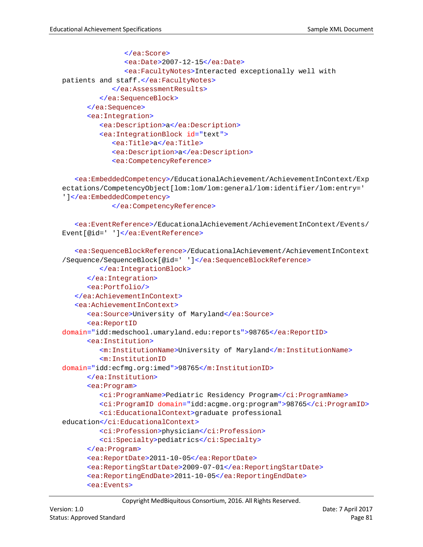```
</ea:Score>
               <ea:Date>2007-12-15</ea:Date>
               <ea:FacultyNotes>Interacted exceptionally well with 
patients and staff.</ea:FacultyNotes>
            </ea:AssessmentResults>
         </ea:SequenceBlock>
      </ea:Sequence>
      <ea:Integration>
         <ea:Description>a</ea:Description>
         <ea:IntegrationBlock id="text">
            <ea:Title>a</ea:Title>
            <ea:Description>a</ea:Description>
            <ea:CompetencyReference>
```

```
<ea:EmbeddedCompetency>/EducationalAchievement/AchievementInContext/Exp
ectations/CompetencyObject[lom:lom/lom:general/lom:identifier/lom:entry=' 
']</ea:EmbeddedCompetency>
```
</ea:CompetencyReference>

```
<ea:EventReference>/EducationalAchievement/AchievementInContext/Events/
Event[@id=' ']</ea:EventReference>
```

```
<ea:SequenceBlockReference>/EducationalAchievement/AchievementInContext
/Sequence/SequenceBlock[@id=' ']</ea:SequenceBlockReference>
         </ea:IntegrationBlock>
      </ea:Integration>
      <ea:Portfolio/>
   </ea:AchievementInContext>
   <ea:AchievementInContext>
      <ea:Source>University of Maryland</ea:Source>
      <ea:ReportID
domain="idd:medschool.umaryland.edu:reports">98765</ea:ReportID>
      <ea:Institution>
         <m:InstitutionName>University of Maryland</m:InstitutionName>
         <m:InstitutionID
domain="idd:ecfmg.org:imed">98765</m:InstitutionID>
      </ea:Institution>
      <ea:Program>
         <ci:ProgramName>Pediatric Residency Program</ci:ProgramName>
         <ci:ProgramID domain="idd:acgme.org:program">98765</ci:ProgramID>
         <ci:EducationalContext>graduate professional 
education</ci:EducationalContext>
         <ci:Profession>physician</ci:Profession>
         <ci:Specialty>pediatrics</ci:Specialty>
      </ea:Program>
      <ea:ReportDate>2011-10-05</ea:ReportDate>
      <ea:ReportingStartDate>2009-07-01</ea:ReportingStartDate>
      <ea:ReportingEndDate>2011-10-05</ea:ReportingEndDate>
      <ea:Events>
```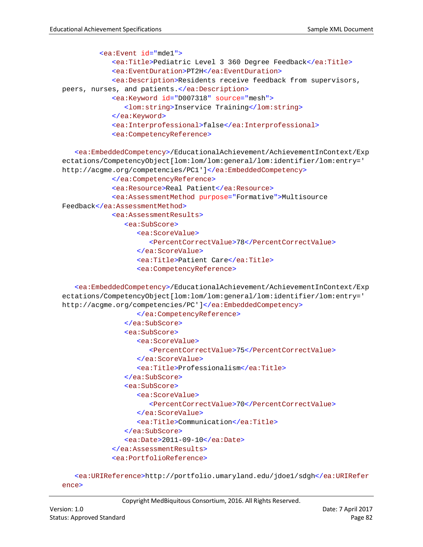```
<ea:Event id="mde1">
            <ea:Title>Pediatric Level 3 360 Degree Feedback</ea:Title>
            <ea:EventDuration>PT2H</ea:EventDuration>
            <ea:Description>Residents receive feedback from supervisors, 
peers, nurses, and patients.</ea:Description>
            <ea:Keyword id="D007318" source="mesh">
               <lom:string>Inservice Training</lom:string>
            </ea:Keyword>
            <ea:Interprofessional>false</ea:Interprofessional>
            <ea:CompetencyReference>
```

```
<ea:EmbeddedCompetency>/EducationalAchievement/AchievementInContext/Exp
ectations/CompetencyObject[lom:lom/lom:general/lom:identifier/lom:entry=' 
http://acgme.org/competencies/PC1']</ea:EmbeddedCompetency>
            </ea:CompetencyReference>
            <ea:Resource>Real Patient</ea:Resource>
            <ea:AssessmentMethod purpose="Formative">Multisource 
Feedback</ea:AssessmentMethod>
            <ea:AssessmentResults>
               <ea:SubScore>
                  <ea:ScoreValue>
                     <PercentCorrectValue>78</PercentCorrectValue>
                  </ea:ScoreValue>
                  <ea:Title>Patient Care</ea:Title>
                  <ea:CompetencyReference>
```
<ea:EmbeddedCompetency>/EducationalAchievement/AchievementInContext/Exp ectations/CompetencyObject[lom:lom/lom:general/lom:identifier/lom:entry=' http://acgme.org/competencies/PC']</ea:EmbeddedCompetency>

```
</ea:CompetencyReference>
   </ea:SubScore>
   <ea:SubScore>
      <ea:ScoreValue>
         <PercentCorrectValue>75</PercentCorrectValue>
      </ea:ScoreValue>
      <ea:Title>Professionalism</ea:Title>
   </ea:SubScore>
   <ea:SubScore>
      <ea:ScoreValue>
         <PercentCorrectValue>70</PercentCorrectValue>
      </ea:ScoreValue>
      <ea:Title>Communication</ea:Title>
   </ea:SubScore>
   <ea:Date>2011-09-10</ea:Date>
</ea:AssessmentResults>
<ea:PortfolioReference>
```

```
<ea:URIReference>http://portfolio.umaryland.edu/jdoe1/sdgh</ea:URIRefer
ence>
```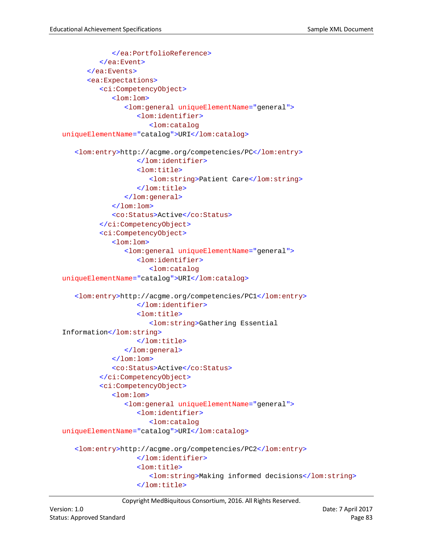```
</ea:PortfolioReference>
         </ea:Event>
      </ea:Events>
      <ea:Expectations>
         <ci:CompetencyObject>
            <lom:lom>
               <lom:general uniqueElementName="general">
                  <lom:identifier>
                     <lom:catalog
uniqueElementName="catalog">URI</lom:catalog>
   <lom:entry>http://acgme.org/competencies/PC</lom:entry>
                  </lom:identifier>
                  <lom:title>
                     <lom:string>Patient Care</lom:string>
                  </lom:title>
               </lom:general>
            \langlelom:lom>
            <co:Status>Active</co:Status>
         </ci:CompetencyObject>
         <ci:CompetencyObject>
            <lom:lom>
               <lom:general uniqueElementName="general">
                  <lom:identifier>
                     <lom:catalog
uniqueElementName="catalog">URI</lom:catalog>
   <lom:entry>http://acgme.org/competencies/PC1</lom:entry>
                  </lom:identifier>
                  <lom:title>
                     <lom:string>Gathering Essential 
Information</lom:string>
                  </lom:title>
               </lom:general>
            \langlelom:lom>
            <co:Status>Active</co:Status>
         </ci:CompetencyObject>
         <ci:CompetencyObject>
            <lom:lom>
               <lom:general uniqueElementName="general">
                  <lom:identifier>
                     <lom:catalog
uniqueElementName="catalog">URI</lom:catalog>
   <lom:entry>http://acgme.org/competencies/PC2</lom:entry>
                  </lom:identifier>
                  <lom:title>
                     <lom:string>Making informed decisions</lom:string>
                  </lom:title>
```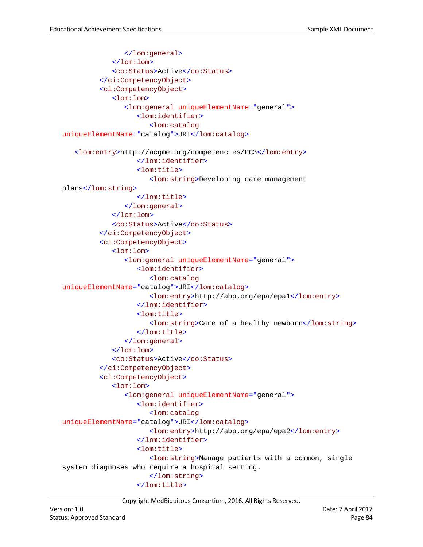```
</lom:general>
            \langlelom:lom>
            <co:Status>Active</co:Status>
         </ci:CompetencyObject>
         <ci:CompetencyObject>
            <lom:lom>
               <lom:general uniqueElementName="general">
                  <lom:identifier>
                     <lom:catalog
uniqueElementName="catalog">URI</lom:catalog>
   <lom:entry>http://acgme.org/competencies/PC3</lom:entry>
                  </lom:identifier>
                  <lom:title>
                      <lom:string>Developing care management 
plans</lom:string>
                  </lom:title>
               </lom:general>
            </lom:lom>
            <co:Status>Active</co:Status>
         </ci:CompetencyObject>
         <ci:CompetencyObject>
            <lom:lom>
               <lom:general uniqueElementName="general">
                  <lom:identifier>
                     <lom:catalog
uniqueElementName="catalog">URI</lom:catalog>
                      <lom:entry>http://abp.org/epa/epa1</lom:entry>
                  </lom:identifier>
                  <lom:title>
                      <lom:string>Care of a healthy newborn</lom:string>
                  </lom:title>
               </lom:general>
            \langlelom:lom>
            <co:Status>Active</co:Status>
         </ci:CompetencyObject>
         <ci:CompetencyObject>
            <lom:lom>
               <lom:general uniqueElementName="general">
                  <lom:identifier>
                     <lom:catalog
uniqueElementName="catalog">URI</lom:catalog>
                     <lom:entry>http://abp.org/epa/epa2</lom:entry>
                  </lom:identifier>
                  <lom:title>
                     <lom:string>Manage patients with a common, single 
system diagnoses who require a hospital setting.
                     </lom:string>
                  </lom:title>
```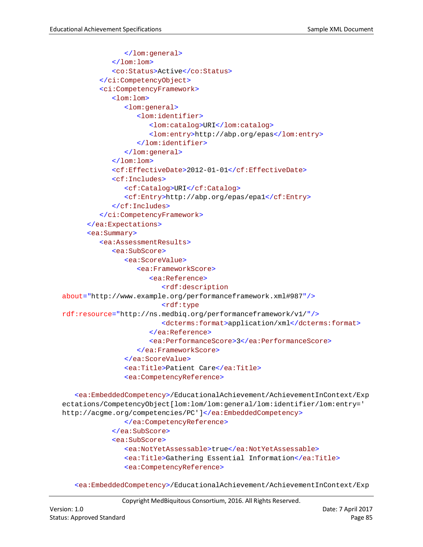```
</lom:general>
            </lom:lom>
            <co:Status>Active</co:Status>
         </ci:CompetencyObject>
         <ci:CompetencyFramework>
            <lom:lom>
               <lom:general>
                  <lom:identifier>
                     <lom:catalog>URI</lom:catalog>
                     <lom:entry>http://abp.org/epas</lom:entry>
                  </lom:identifier>
               </lom:general>
            </lom:lom>
            <cf:EffectiveDate>2012-01-01</cf:EffectiveDate>
            <cf:Includes>
               <cf:Catalog>URI</cf:Catalog>
               <cf:Entry>http://abp.org/epas/epa1</cf:Entry>
            </cf:Includes>
         </ci:CompetencyFramework>
      </ea:Expectations>
      <ea:Summary>
         <ea:AssessmentResults>
            <ea:SubScore>
               <ea:ScoreValue>
                  <ea:FrameworkScore>
                     <ea:Reference>
                        <rdf:description
about="http://www.example.org/performanceframework.xml#987"/>
                        <rdf:type
rdf:resource="http://ns.medbiq.org/performanceframework/v1/"/>
                        <dcterms:format>application/xml</dcterms:format>
                     </ea:Reference>
                     <ea:PerformanceScore>3</ea:PerformanceScore>
                  </ea:FrameworkScore>
               </ea:ScoreValue>
               <ea:Title>Patient Care</ea:Title>
               <ea:CompetencyReference>
   <ea:EmbeddedCompetency>/EducationalAchievement/AchievementInContext/Exp
ectations/CompetencyObject[lom:lom/lom:general/lom:identifier/lom:entry=' 
http://acgme.org/competencies/PC']</ea:EmbeddedCompetency>
```

```
</ea:CompetencyReference>
</ea:SubScore>
<ea:SubScore>
   <ea:NotYetAssessable>true</ea:NotYetAssessable>
   <ea:Title>Gathering Essential Information</ea:Title>
   <ea:CompetencyReference>
```
<ea:EmbeddedCompetency>/EducationalAchievement/AchievementInContext/Exp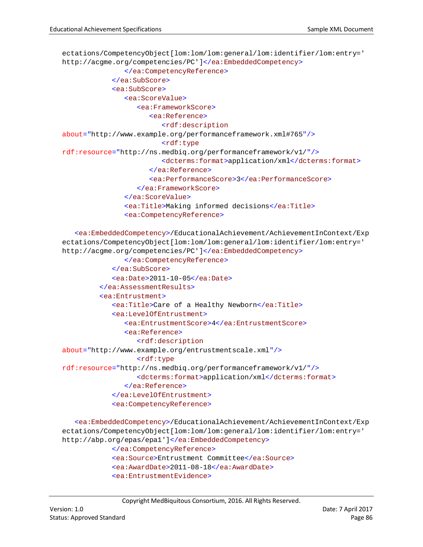```
ectations/CompetencyObject[lom:lom/lom:general/lom:identifier/lom:entry=' 
http://acgme.org/competencies/PC']</ea:EmbeddedCompetency>
               </ea:CompetencyReference>
            </ea:SubScore>
            <ea:SubScore>
               <ea:ScoreValue>
                  <ea:FrameworkScore>
                     <ea:Reference>
                        <rdf:description
about="http://www.example.org/performanceframework.xml#765"/>
                        <rdf:type
rdf:resource="http://ns.medbiq.org/performanceframework/v1/"/>
                        <dcterms:format>application/xml</dcterms:format>
                     </ea:Reference>
                     <ea:PerformanceScore>3</ea:PerformanceScore>
                  </ea:FrameworkScore>
               </ea:ScoreValue>
               <ea:Title>Making informed decisions</ea:Title>
               <ea:CompetencyReference>
```

```
<ea:EmbeddedCompetency>/EducationalAchievement/AchievementInContext/Exp
ectations/CompetencyObject[lom:lom/lom:general/lom:identifier/lom:entry=' 
http://acgme.org/competencies/PC']</ea:EmbeddedCompetency>
               </ea:CompetencyReference>
            </ea:SubScore>
            <ea:Date>2011-10-05</ea:Date>
         </ea:AssessmentResults>
         <ea:Entrustment>
            <ea:Title>Care of a Healthy Newborn</ea:Title>
            <ea:LevelOfEntrustment>
               <ea:EntrustmentScore>4</ea:EntrustmentScore>
               <ea:Reference>
                  <rdf:description
about="http://www.example.org/entrustmentscale.xml"/>
                  <rdf:type
rdf:resource="http://ns.medbiq.org/performanceframework/v1/"/>
                  <dcterms:format>application/xml</dcterms:format>
               </ea:Reference>
            </ea:LevelOfEntrustment>
            <ea:CompetencyReference>
   <ea:EmbeddedCompetency>/EducationalAchievement/AchievementInContext/Exp
```

```
ectations/CompetencyObject[lom:lom/lom:general/lom:identifier/lom:entry=' 
http://abp.org/epas/epa1']</ea:EmbeddedCompetency>
            </ea:CompetencyReference>
            <ea:Source>Entrustment Committee</ea:Source>
            <ea:AwardDate>2011-08-18</ea:AwardDate>
            <ea:EntrustmentEvidence>
```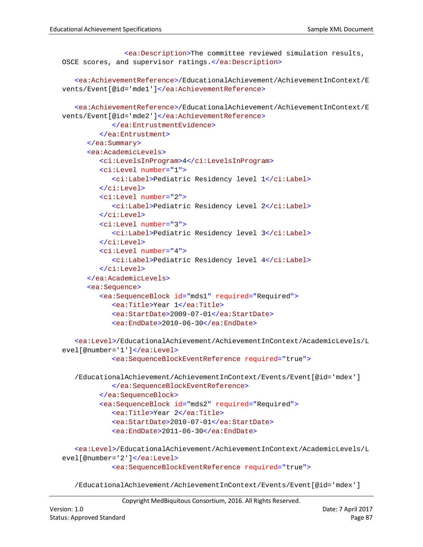```
<ea:Description>The committee reviewed simulation results, 
OSCE scores, and supervisor ratings.</ea:Description>
   <ea:AchievementReference>/EducationalAchievement/AchievementInContext/E
vents/Event[@id='mde1']</ea:AchievementReference>
   <ea:AchievementReference>/EducationalAchievement/AchievementInContext/E
vents/Event[@id='mde2']</ea:AchievementReference>
            </ea:EntrustmentEvidence>
         </ea:Entrustment>
      </ea:Summary>
      <ea:AcademicLevels>
         <ci:LevelsInProgram>4</ci:LevelsInProgram>
         <ci:Level number="1">
            <ci:Label>Pediatric Residency level 1</ci:Label>
         </ci:Level>
         <ci:Level number="2">
            <ci:Label>Pediatric Residency Level 2</ci:Label>
         </ci:Level>
         <ci:Level number="3">
            <ci:Label>Pediatric Residency level 3</ci:Label>
         </ci:Level>
         <ci:Level number="4">
            <ci:Label>Pediatric Residency level 4</ci:Label>
         </ci:Level>
      </ea:AcademicLevels>
      <ea:Sequence>
         <ea:SequenceBlock id="mds1" required="Required">
            <ea:Title>Year 1</ea:Title>
            <ea:StartDate>2009-07-01</ea:StartDate>
            <ea:EndDate>2010-06-30</ea:EndDate>
   <ea:Level>/EducationalAchievement/AchievementInContext/AcademicLevels/L
evel[@number='1']</ea:Level>
            <ea:SequenceBlockEventReference required="true">
   /EducationalAchievement/AchievementInContext/Events/Event[@id='mdex']
            </ea:SequenceBlockEventReference>
         </ea:SequenceBlock>
         <ea:SequenceBlock id="mds2" required="Required">
            <ea:Title>Year 2</ea:Title>
            <ea:StartDate>2010-07-01</ea:StartDate>
            <ea:EndDate>2011-06-30</ea:EndDate>
   <ea:Level>/EducationalAchievement/AchievementInContext/AcademicLevels/L
evel[@number='2']</ea:Level>
            <ea:SequenceBlockEventReference required="true">
```
/EducationalAchievement/AchievementInContext/Events/Event[@id='mdex']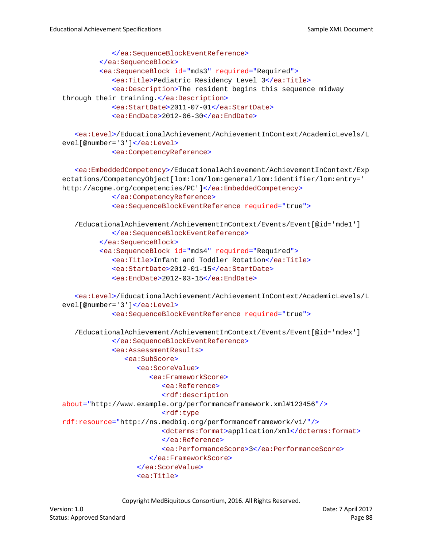```
</ea:SequenceBlockEventReference>
         </ea:SequenceBlock>
         <ea:SequenceBlock id="mds3" required="Required">
            <ea:Title>Pediatric Residency Level 3</ea:Title>
            <ea:Description>The resident begins this sequence midway 
through their training.</ea:Description>
            <ea:StartDate>2011-07-01</ea:StartDate>
            <ea:EndDate>2012-06-30</ea:EndDate>
   <ea:Level>/EducationalAchievement/AchievementInContext/AcademicLevels/L
evel[@number='3']</ea:Level>
            <ea:CompetencyReference>
   <ea:EmbeddedCompetency>/EducationalAchievement/AchievementInContext/Exp
ectations/CompetencyObject[lom:lom/lom:general/lom:identifier/lom:entry=' 
http://acgme.org/competencies/PC']</ea:EmbeddedCompetency>
            </ea:CompetencyReference>
            <ea:SequenceBlockEventReference required="true">
   /EducationalAchievement/AchievementInContext/Events/Event[@id='mde1']
            </ea:SequenceBlockEventReference>
         </ea:SequenceBlock>
         <ea:SequenceBlock id="mds4" required="Required">
            <ea:Title>Infant and Toddler Rotation</ea:Title>
            <ea:StartDate>2012-01-15</ea:StartDate>
            <ea:EndDate>2012-03-15</ea:EndDate>
   <ea:Level>/EducationalAchievement/AchievementInContext/AcademicLevels/L
evel[@number='3']</ea:Level>
            <ea:SequenceBlockEventReference required="true">
   /EducationalAchievement/AchievementInContext/Events/Event[@id='mdex']
            </ea:SequenceBlockEventReference>
            <ea:AssessmentResults>
               <ea:SubScore>
                  <ea:ScoreValue>
                     <ea:FrameworkScore>
                        <ea:Reference>
                        <rdf:description
about="http://www.example.org/performanceframework.xml#123456"/>
                        <rdf:type
rdf:resource="http://ns.medbiq.org/performanceframework/v1/"/>
                        <dcterms:format>application/xml</dcterms:format>
                        </ea:Reference>
                        <ea:PerformanceScore>3</ea:PerformanceScore>
                     </ea:FrameworkScore>
                  </ea:ScoreValue>
                  <ea:Title>
```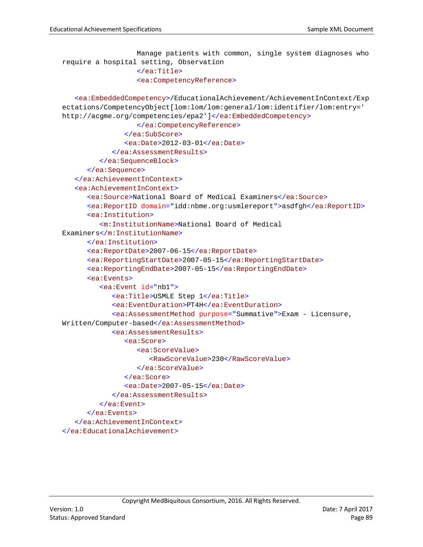```
Manage patients with common, single system diagnoses who 
require a hospital setting, Observation
                  </ea:Title>
                  <ea:CompetencyReference>
   <ea:EmbeddedCompetency>/EducationalAchievement/AchievementInContext/Exp
ectations/CompetencyObject[lom:lom/lom:general/lom:identifier/lom:entry=' 
http://acgme.org/competencies/epa2']</ea:EmbeddedCompetency>
                  </ea:CompetencyReference>
               </ea:SubScore>
               <ea:Date>2012-03-01</ea:Date>
            </ea:AssessmentResults>
         </ea:SequenceBlock>
      </ea:Sequence>
   </ea:AchievementInContext>
   <ea:AchievementInContext>
      <ea:Source>National Board of Medical Examiners</ea:Source>
      <ea:ReportID domain="idd:nbme.org:usmlereport">asdfgh</ea:ReportID>
      <ea:Institution>
         <m:InstitutionName>National Board of Medical 
Examiners</m:InstitutionName>
      </ea:Institution>
      <ea:ReportDate>2007-06-15</ea:ReportDate>
      <ea:ReportingStartDate>2007-05-15</ea:ReportingStartDate>
      <ea:ReportingEndDate>2007-05-15</ea:ReportingEndDate>
      <ea:Events>
         <ea:Event id="nb1">
            <ea:Title>USMLE Step 1</ea:Title>
            <ea:EventDuration>PT4H</ea:EventDuration>
            <ea:AssessmentMethod purpose="Summative">Exam - Licensure, 
Written/Computer-based</ea:AssessmentMethod>
            <ea:AssessmentResults>
               <ea:Score>
                  <ea:ScoreValue>
                     <RawScoreValue>230</RawScoreValue>
                  </ea:ScoreValue>
               </ea:Score>
               <ea:Date>2007-05-15</ea:Date>
            </ea:AssessmentResults>
         </ea:Event>
      </ea:Events>
   </ea:AchievementInContext>
</ea:EducationalAchievement>
```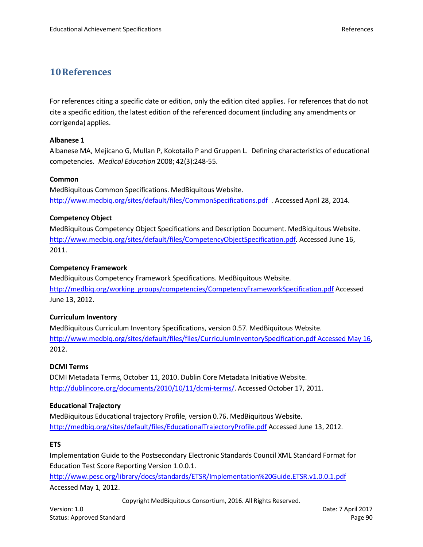# **10References**

For references citing a specific date or edition, only the edition cited applies. For references that do not cite a specific edition, the latest edition of the referenced document (including any amendments or corrigenda) applies.

### **Albanese 1**

Albanese MA, Mejicano G, Mullan P, Kokotailo P and Gruppen L. Defining characteristics of educational competencies. *Medical Education* 2008; 42(3):248-55.

### **Common**

MedBiquitous Common Specifications. MedBiquitous Website. <http://www.medbiq.org/sites/default/files/CommonSpecifications.pdf>. Accessed April 28, 2014.

### **Competency Object**

MedBiquitous Competency Object Specifications and Description Document. MedBiquitous Website. [http://www.medbiq.org/sites/default/files/CompetencyObjectSpecification.pdf.](http://www.medbiq.org/sites/default/files/CompetencyObjectSpecification.pdf) Accessed June 16, 2011.

### **Competency Framework**

MedBiquitous Competency Framework Specifications. MedBiquitous Website. [http://medbiq.org/working\\_groups/competencies/CompetencyFrameworkSpecification.pdf](http://medbiq.org/working_groups/competencies/CompetencyFrameworkSpecification.pdf) Accessed June 13, 2012.

## **Curriculum Inventory**

MedBiquitous Curriculum Inventory Specifications, version 0.57. MedBiquitous Website. [http://www.medbiq.org/sites/default/files/files/CurriculumInventorySpecification.pdf Accessed May 16,](http://www.medbiq.org/sites/default/files/files/CurriculumInventorySpecification.pdf%20Accessed%20May%2016) 2012.

## **DCMI Terms**

DCMI Metadata Terms, October 11, 2010. Dublin Core Metadata Initiative Website. [http://dublincore.org/documents/2010/10/11/dcmi-terms/.](http://dublincore.org/documents/2010/10/11/dcmi-terms/) Accessed October 17, 2011.

#### **Educational Trajectory**

MedBiquitous Educational trajectory Profile, version 0.76. MedBiquitous Website. <http://medbiq.org/sites/default/files/EducationalTrajectoryProfile.pdf> Accessed June 13, 2012.

## **ETS**

Implementation Guide to the Postsecondary Electronic Standards Council XML Standard Format for Education Test Score Reporting Version 1.0.0.1.

<http://www.pesc.org/library/docs/standards/ETSR/Implementation%20Guide.ETSR.v1.0.0.1.pdf> Accessed May 1, 2012.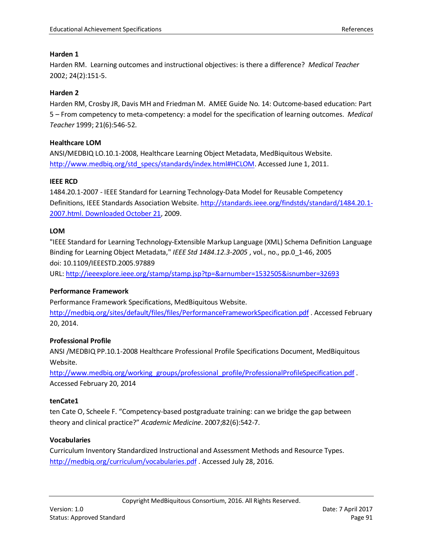#### **Harden 1**

Harden RM. Learning outcomes and instructional objectives: is there a difference? *Medical Teacher* 2002; 24(2):151-5.

#### **Harden 2**

Harden RM, Crosby JR, Davis MH and Friedman M. AMEE Guide No. 14: Outcome-based education: Part 5 – From competency to meta-competency: a model for the specification of learning outcomes. *Medical Teacher* 1999; 21(6):546-52.

#### **Healthcare LOM**

ANSI/MEDBIQ LO.10.1-2008, Healthcare Learning Object Metadata, MedBiquitous Website. [http://www.medbiq.org/std\\_specs/standards/index.html#HCLOM.](http://www.medbiq.org/std_specs/standards/index.html#HCLOM) Accessed June 1, 2011.

#### **IEEE RCD**

1484.20.1-2007 - IEEE Standard for Learning Technology-Data Model for Reusable Competency Definitions, IEEE Standards Association Website. [http://standards.ieee.org/findstds/standard/1484.20.1-](http://standards.ieee.org/findstds/standard/1484.20.1-2007.html.%20Downloaded%20October%2021) [2007.html. Downloaded October 21,](http://standards.ieee.org/findstds/standard/1484.20.1-2007.html.%20Downloaded%20October%2021) 2009.

#### **LOM**

"IEEE Standard for Learning Technology-Extensible Markup Language (XML) Schema Definition Language Binding for Learning Object Metadata," *IEEE Std 1484.12.3-2005* , vol., no., pp.0\_1-46, 2005 doi: 10.1109/IEEESTD.2005.97889

URL: <http://ieeexplore.ieee.org/stamp/stamp.jsp?tp=&arnumber=1532505&isnumber=32693>

#### **Performance Framework**

Performance Framework Specifications, MedBiquitous Website. <http://medbiq.org/sites/default/files/files/PerformanceFrameworkSpecification.pdf> . Accessed February 20, 2014.

#### **Professional Profile**

ANSI /MEDBIQ PP.10.1-2008 Healthcare Professional Profile Specifications Document, MedBiquitous Website.

[http://www.medbiq.org/working\\_groups/professional\\_profile/ProfessionalProfileSpecification.pdf](http://www.medbiq.org/working_groups/professional_profile/ProfessionalProfileSpecification.pdf) . Accessed February 20, 2014

#### **tenCate1**

ten Cate O, Scheele F. ["Competency-based postgraduate training: can we bridge the gap between](http://groups.medbiq.org/medbiq/download/attachments/15991574/ten+Cate%2C+Scheele+-+Competency-based+postgraduate+training+can+we+bridge+the+gap+between+theory+and+clinical+practice.pdf?version=1&modificationDate=1327513629000)  [theory and clinical practice?"](http://groups.medbiq.org/medbiq/download/attachments/15991574/ten+Cate%2C+Scheele+-+Competency-based+postgraduate+training+can+we+bridge+the+gap+between+theory+and+clinical+practice.pdf?version=1&modificationDate=1327513629000) *Academic Medicine*. 2007;82(6):542-7.

#### **Vocabularies**

Curriculum Inventory Standardized Instructional and Assessment Methods and Resource Types. <http://medbiq.org/curriculum/vocabularies.pdf>. Accessed July 28, 2016.